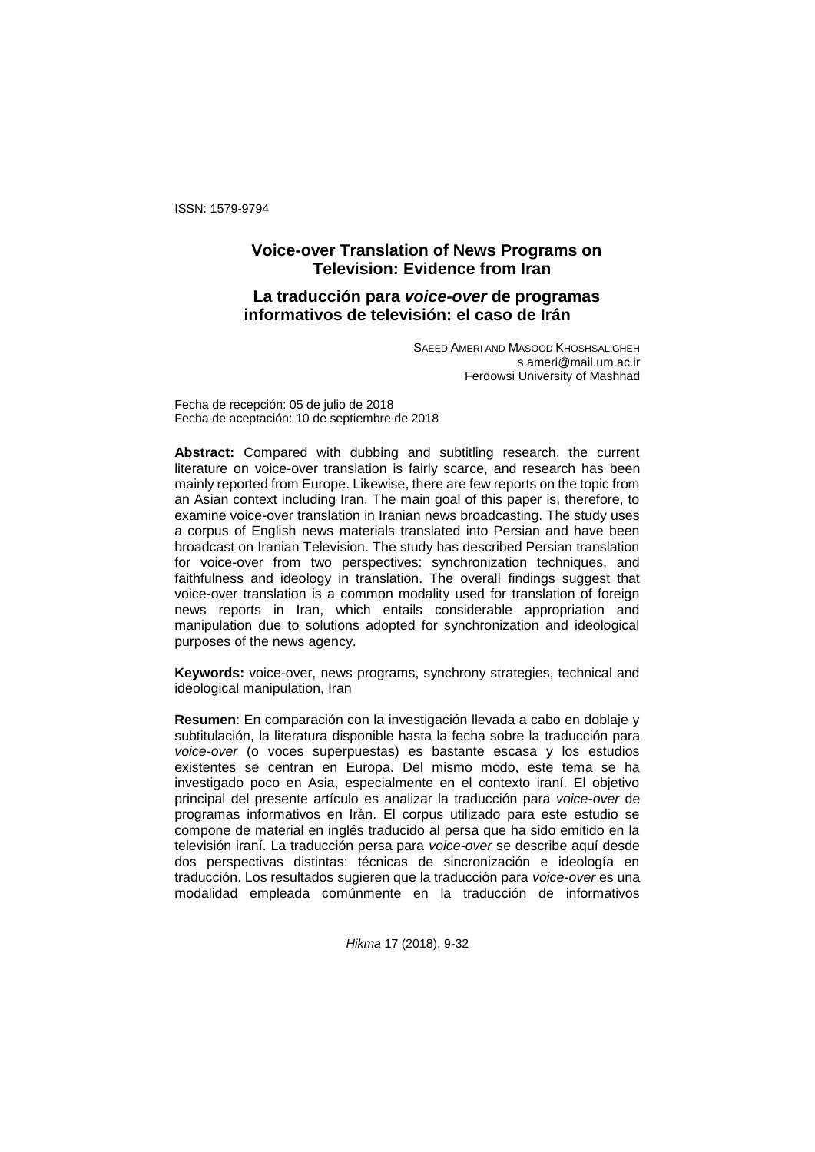ISSN: 1579-9794

# **Voice-over Translation of News Programs on Television: Evidence from Iran**

# **La traducción para** *voice-over* **de programas informativos de televisión: el caso de Irán**

SAEED AMERI AND MASOOD KHOSHSALIGHEH s.ameri@mail.um.ac.ir Ferdowsi University of Mashhad

Fecha de recepción: 05 de julio de 2018 Fecha de aceptación: 10 de septiembre de 2018

**Abstract:** Compared with dubbing and subtitling research, the current literature on voice-over translation is fairly scarce, and research has been mainly reported from Europe. Likewise, there are few reports on the topic from an Asian context including Iran. The main goal of this paper is, therefore, to examine voice-over translation in Iranian news broadcasting. The study uses a corpus of English news materials translated into Persian and have been broadcast on Iranian Television. The study has described Persian translation for voice-over from two perspectives: synchronization techniques, and faithfulness and ideology in translation. The overall findings suggest that voice-over translation is a common modality used for translation of foreign news reports in Iran, which entails considerable appropriation and manipulation due to solutions adopted for synchronization and ideological purposes of the news agency.

**Keywords:** voice-over, news programs, synchrony strategies, technical and ideological manipulation, Iran

**Resumen**: En comparación con la investigación llevada a cabo en doblaje y subtitulación, la literatura disponible hasta la fecha sobre la traducción para *voice-over* (o voces superpuestas) es bastante escasa y los estudios existentes se centran en Europa. Del mismo modo, este tema se ha investigado poco en Asia, especialmente en el contexto iraní. El objetivo principal del presente artículo es analizar la traducción para *voice-over* de programas informativos en Irán. El corpus utilizado para este estudio se compone de material en inglés traducido al persa que ha sido emitido en la televisión iraní. La traducción persa para *voice-over* se describe aquí desde dos perspectivas distintas: técnicas de sincronización e ideología en traducción. Los resultados sugieren que la traducción para *voice-over* es una modalidad empleada comúnmente en la traducción de informativos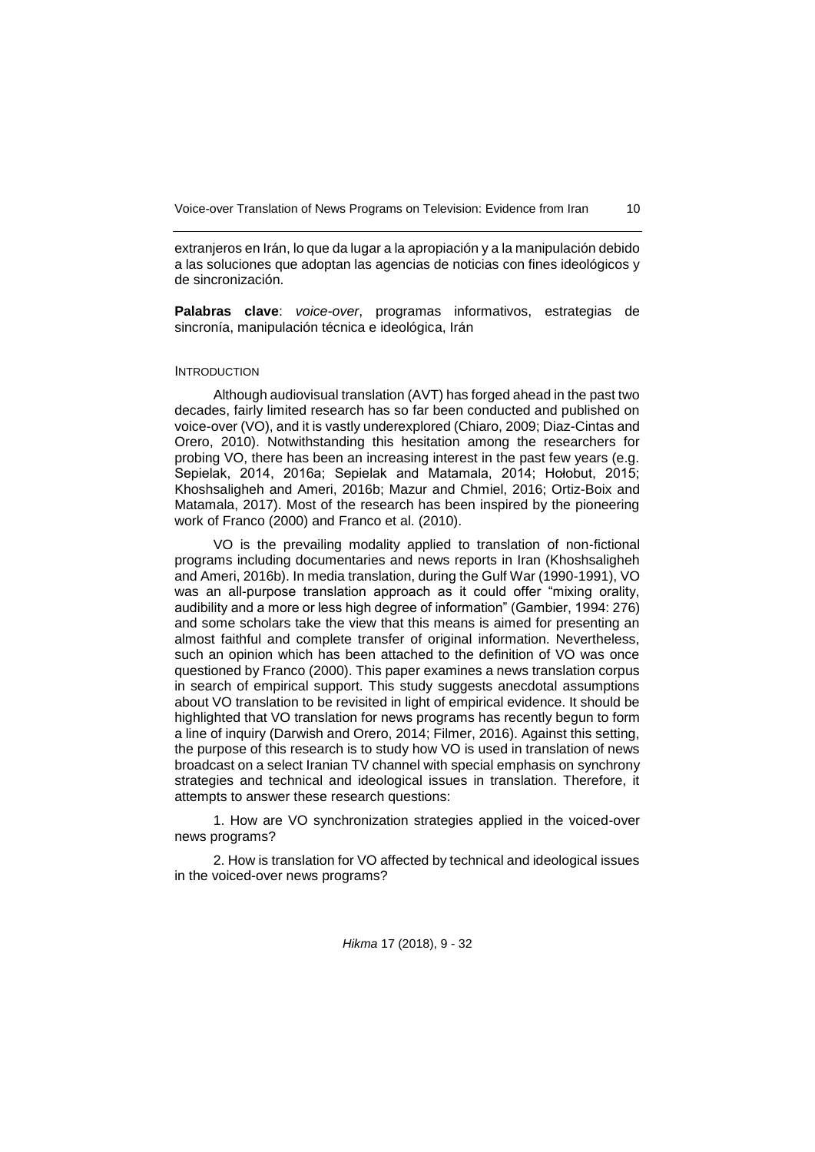extranjeros en Irán, lo que da lugar a la apropiación y a la manipulación debido a las soluciones que adoptan las agencias de noticias con fines ideológicos y de sincronización.

**Palabras clave**: *voice-over*, programas informativos, estrategias de sincronía, manipulación técnica e ideológica, Irán

### INTRODUCTION

Although audiovisual translation (AVT) has forged ahead in the past two decades, fairly limited research has so far been conducted and published on voice-over (VO), and it is vastly underexplored (Chiaro, 2009; Diaz-Cintas and Orero, 2010). Notwithstanding this hesitation among the researchers for probing VO, there has been an increasing interest in the past few years (e.g. Sepielak, 2014, 2016a; Sepielak and Matamala, 2014; Hołobut, 2015; Khoshsaligheh and Ameri, 2016b; Mazur and Chmiel, 2016; Ortiz-Boix and Matamala, 2017). Most of the research has been inspired by the pioneering work of Franco (2000) and Franco et al. (2010).

VO is the prevailing modality applied to translation of non-fictional programs including documentaries and news reports in Iran (Khoshsaligheh and Ameri, 2016b). In media translation, during the Gulf War (1990-1991), VO was an all-purpose translation approach as it could offer "mixing orality, audibility and a more or less high degree of information" (Gambier, 1994: 276) and some scholars take the view that this means is aimed for presenting an almost faithful and complete transfer of original information. Nevertheless, such an opinion which has been attached to the definition of VO was once questioned by Franco (2000). This paper examines a news translation corpus in search of empirical support. This study suggests anecdotal assumptions about VO translation to be revisited in light of empirical evidence. It should be highlighted that VO translation for news programs has recently begun to form a line of inquiry (Darwish and Orero, 2014; Filmer, 2016). Against this setting, the purpose of this research is to study how VO is used in translation of news broadcast on a select Iranian TV channel with special emphasis on synchrony strategies and technical and ideological issues in translation. Therefore, it attempts to answer these research questions:

1. How are VO synchronization strategies applied in the voiced-over news programs?

2. How is translation for VO affected by technical and ideological issues in the voiced-over news programs?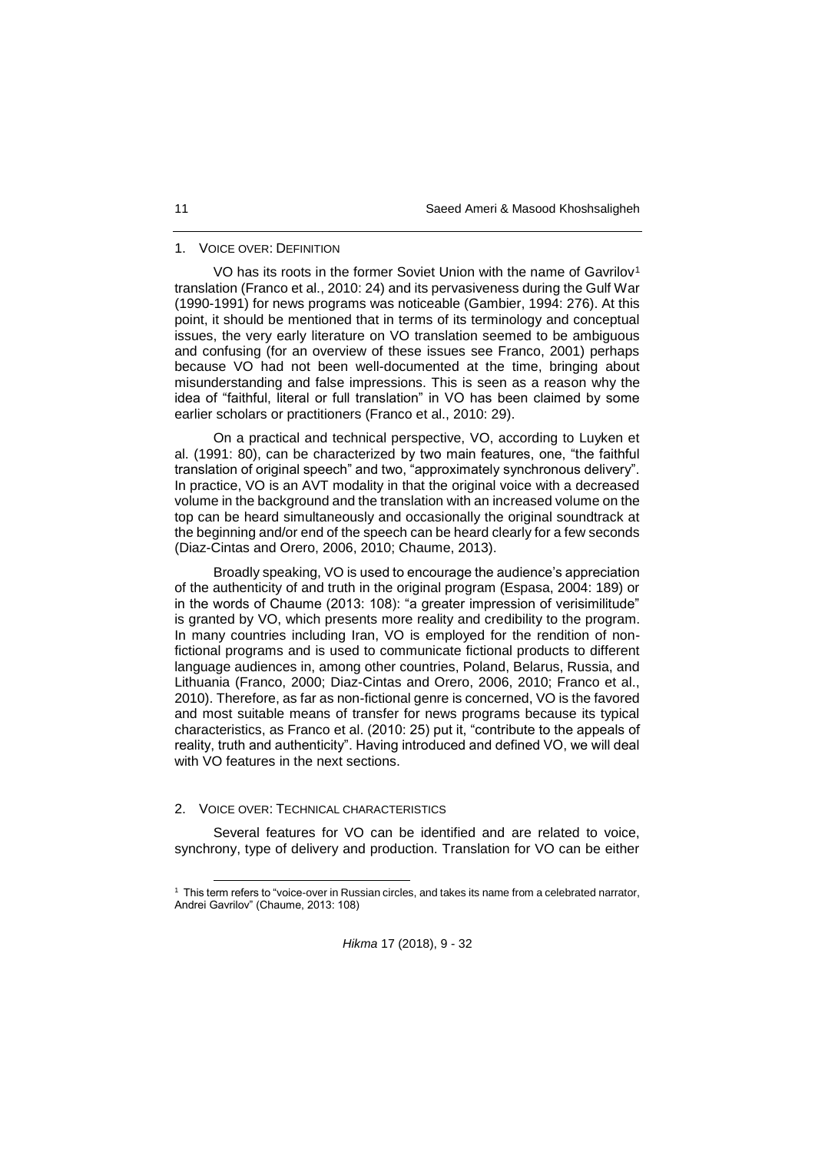### 1. VOICE OVER: DEFINITION

VO has its roots in the former Soviet Union with the name of Gavrilov<sup>1</sup> translation (Franco et al., 2010: 24) and its pervasiveness during the Gulf War (1990-1991) for news programs was noticeable (Gambier, 1994: 276). At this point, it should be mentioned that in terms of its terminology and conceptual issues, the very early literature on VO translation seemed to be ambiguous and confusing (for an overview of these issues see Franco, 2001) perhaps because VO had not been well-documented at the time, bringing about misunderstanding and false impressions. This is seen as a reason why the idea of "faithful, literal or full translation" in VO has been claimed by some earlier scholars or practitioners (Franco et al., 2010: 29).

On a practical and technical perspective, VO, according to Luyken et al. (1991: 80), can be characterized by two main features, one, "the faithful translation of original speech" and two, "approximately synchronous delivery". In practice, VO is an AVT modality in that the original voice with a decreased volume in the background and the translation with an increased volume on the top can be heard simultaneously and occasionally the original soundtrack at the beginning and/or end of the speech can be heard clearly for a few seconds (Diaz-Cintas and Orero, 2006, 2010; Chaume, 2013).

Broadly speaking, VO is used to encourage the audience's appreciation of the authenticity of and truth in the original program (Espasa, 2004: 189) or in the words of Chaume (2013: 108): "a greater impression of verisimilitude" is granted by VO, which presents more reality and credibility to the program. In many countries including Iran, VO is employed for the rendition of nonfictional programs and is used to communicate fictional products to different language audiences in, among other countries, Poland, Belarus, Russia, and Lithuania (Franco, 2000; Diaz-Cintas and Orero, 2006, 2010; Franco et al., 2010). Therefore, as far as non-fictional genre is concerned, VO is the favored and most suitable means of transfer for news programs because its typical characteristics, as Franco et al. (2010: 25) put it, "contribute to the appeals of reality, truth and authenticity". Having introduced and defined VO, we will deal with VO features in the next sections.

### 2. VOICE OVER: TECHNICAL CHARACTERISTICS

l

Several features for VO can be identified and are related to voice, synchrony, type of delivery and production. Translation for VO can be either

<sup>1</sup> This term refers to "voice-over in Russian circles, and takes its name from a celebrated narrator, Andrei Gavrilov" (Chaume, 2013: 108)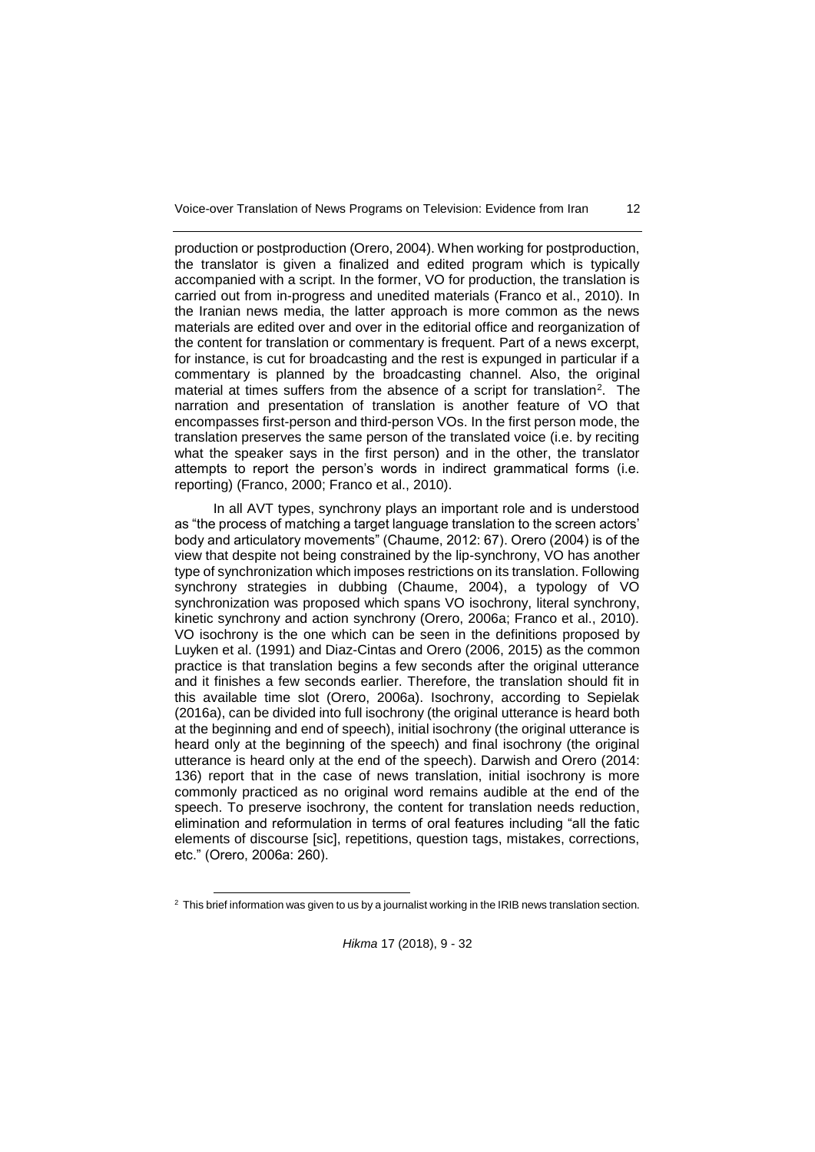production or postproduction (Orero, 2004). When working for postproduction, the translator is given a finalized and edited program which is typically accompanied with a script. In the former, VO for production, the translation is carried out from in-progress and unedited materials (Franco et al., 2010). In the Iranian news media, the latter approach is more common as the news materials are edited over and over in the editorial office and reorganization of the content for translation or commentary is frequent. Part of a news excerpt, for instance, is cut for broadcasting and the rest is expunged in particular if a commentary is planned by the broadcasting channel. Also, the original material at times suffers from the absence of a script for translation<sup>2</sup>. The narration and presentation of translation is another feature of VO that encompasses first-person and third-person VOs. In the first person mode, the translation preserves the same person of the translated voice (i.e. by reciting what the speaker says in the first person) and in the other, the translator attempts to report the person's words in indirect grammatical forms (i.e. reporting) (Franco, 2000; Franco et al., 2010).

In all AVT types, synchrony plays an important role and is understood as "the process of matching a target language translation to the screen actors' body and articulatory movements" (Chaume, 2012: 67). Orero (2004) is of the view that despite not being constrained by the lip-synchrony, VO has another type of synchronization which imposes restrictions on its translation. Following synchrony strategies in dubbing (Chaume, 2004), a typology of VO synchronization was proposed which spans VO isochrony, literal synchrony, kinetic synchrony and action synchrony (Orero, 2006a; Franco et al., 2010). VO isochrony is the one which can be seen in the definitions proposed by Luyken et al. (1991) and Diaz-Cintas and Orero (2006, 2015) as the common practice is that translation begins a few seconds after the original utterance and it finishes a few seconds earlier. Therefore, the translation should fit in this available time slot (Orero, 2006a). Isochrony, according to Sepielak (2016a), can be divided into full isochrony (the original utterance is heard both at the beginning and end of speech), initial isochrony (the original utterance is heard only at the beginning of the speech) and final isochrony (the original utterance is heard only at the end of the speech). Darwish and Orero (2014: 136) report that in the case of news translation, initial isochrony is more commonly practiced as no original word remains audible at the end of the speech. To preserve isochrony, the content for translation needs reduction, elimination and reformulation in terms of oral features including "all the fatic elements of discourse [sic], repetitions, question tags, mistakes, corrections, etc." (Orero, 2006a: 260).

l

 $2$  This brief information was given to us by a journalist working in the IRIB news translation section.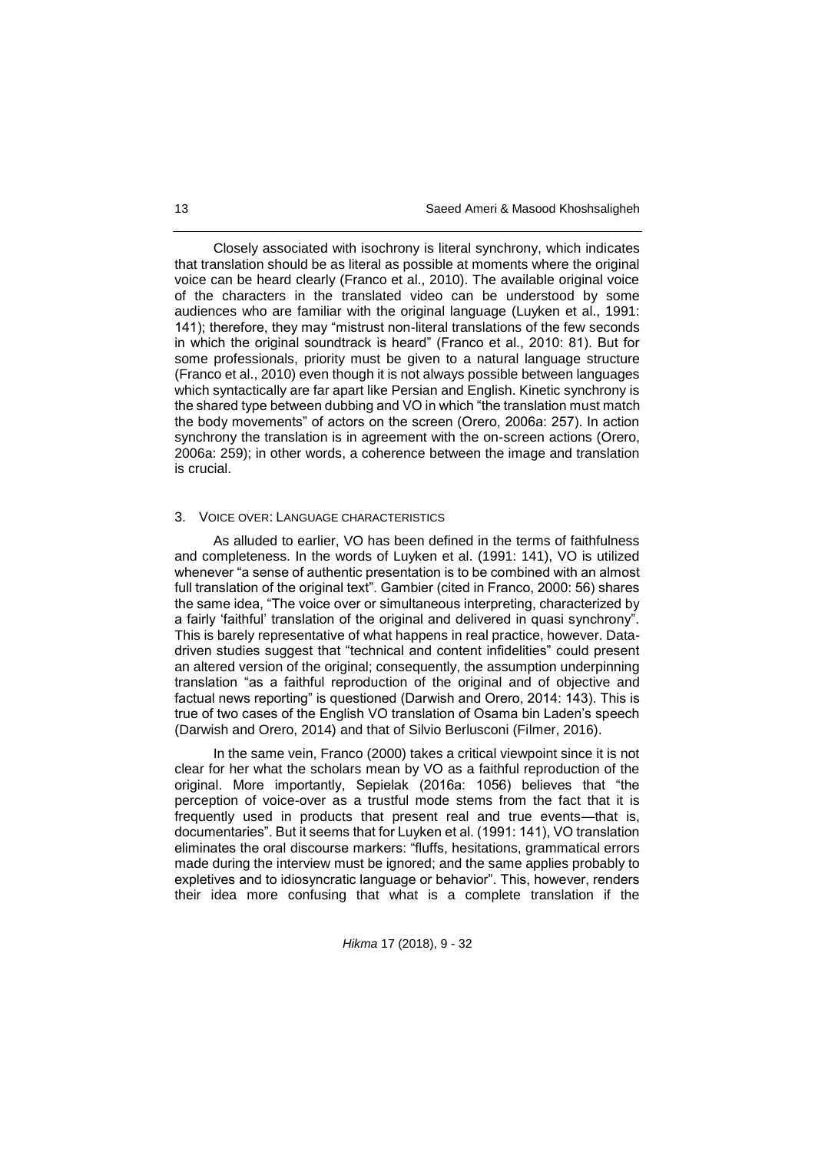Closely associated with isochrony is literal synchrony, which indicates that translation should be as literal as possible at moments where the original voice can be heard clearly (Franco et al., 2010). The available original voice of the characters in the translated video can be understood by some audiences who are familiar with the original language (Luyken et al., 1991: 141); therefore, they may "mistrust non-literal translations of the few seconds in which the original soundtrack is heard" (Franco et al., 2010: 81). But for some professionals, priority must be given to a natural language structure (Franco et al., 2010) even though it is not always possible between languages which syntactically are far apart like Persian and English. Kinetic synchrony is the shared type between dubbing and VO in which "the translation must match the body movements" of actors on the screen (Orero, 2006a: 257). In action synchrony the translation is in agreement with the on-screen actions (Orero, 2006a: 259); in other words, a coherence between the image and translation is crucial.

### 3. VOICE OVER: LANGUAGE CHARACTERISTICS

As alluded to earlier, VO has been defined in the terms of faithfulness and completeness. In the words of Luyken et al. (1991: 141), VO is utilized whenever "a sense of authentic presentation is to be combined with an almost full translation of the original text". Gambier (cited in Franco, 2000: 56) shares the same idea, "The voice over or simultaneous interpreting, characterized by a fairly 'faithful' translation of the original and delivered in quasi synchrony". This is barely representative of what happens in real practice, however. Datadriven studies suggest that "technical and content infidelities" could present an altered version of the original; consequently, the assumption underpinning translation "as a faithful reproduction of the original and of objective and factual news reporting" is questioned (Darwish and Orero, 2014: 143). This is true of two cases of the English VO translation of Osama bin Laden's speech (Darwish and Orero, 2014) and that of Silvio Berlusconi (Filmer, 2016).

In the same vein, Franco (2000) takes a critical viewpoint since it is not clear for her what the scholars mean by VO as a faithful reproduction of the original. More importantly, Sepielak (2016a: 1056) believes that "the perception of voice-over as a trustful mode stems from the fact that it is frequently used in products that present real and true events—that is, documentaries". But it seems that for Luyken et al. (1991: 141), VO translation eliminates the oral discourse markers: "fluffs, hesitations, grammatical errors made during the interview must be ignored; and the same applies probably to expletives and to idiosyncratic language or behavior". This, however, renders their idea more confusing that what is a complete translation if the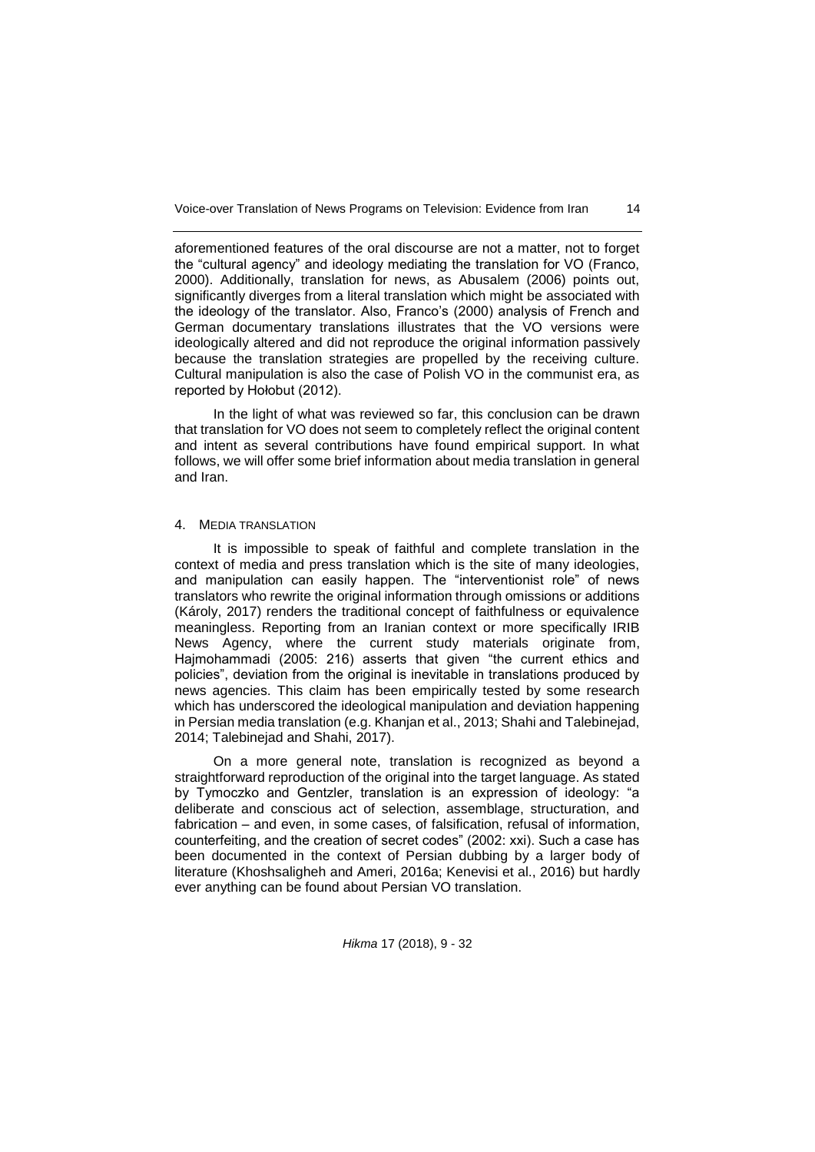aforementioned features of the oral discourse are not a matter, not to forget the "cultural agency" and ideology mediating the translation for VO (Franco, 2000). Additionally, translation for news, as Abusalem (2006) points out, significantly diverges from a literal translation which might be associated with the ideology of the translator. Also, Franco's (2000) analysis of French and German documentary translations illustrates that the VO versions were ideologically altered and did not reproduce the original information passively because the translation strategies are propelled by the receiving culture. Cultural manipulation is also the case of Polish VO in the communist era, as reported by Hołobut (2012).

In the light of what was reviewed so far, this conclusion can be drawn that translation for VO does not seem to completely reflect the original content and intent as several contributions have found empirical support. In what follows, we will offer some brief information about media translation in general and Iran.

### 4. MEDIA TRANSLATION

It is impossible to speak of faithful and complete translation in the context of media and press translation which is the site of many ideologies, and manipulation can easily happen. The "interventionist role" of news translators who rewrite the original information through omissions or additions (Károly, 2017) renders the traditional concept of faithfulness or equivalence meaningless. Reporting from an Iranian context or more specifically IRIB News Agency, where the current study materials originate from, Hajmohammadi (2005: 216) asserts that given "the current ethics and policies", deviation from the original is inevitable in translations produced by news agencies. This claim has been empirically tested by some research which has underscored the ideological manipulation and deviation happening in Persian media translation (e.g. Khanjan et al., 2013; Shahi and Talebinejad, 2014; Talebinejad and Shahi, 2017).

On a more general note, translation is recognized as beyond a straightforward reproduction of the original into the target language. As stated by Tymoczko and Gentzler, translation is an expression of ideology: "a deliberate and conscious act of selection, assemblage, structuration, and fabrication – and even, in some cases, of falsification, refusal of information, counterfeiting, and the creation of secret codes" (2002: xxi). Such a case has been documented in the context of Persian dubbing by a larger body of literature (Khoshsaligheh and Ameri, 2016a; Kenevisi et al., 2016) but hardly ever anything can be found about Persian VO translation.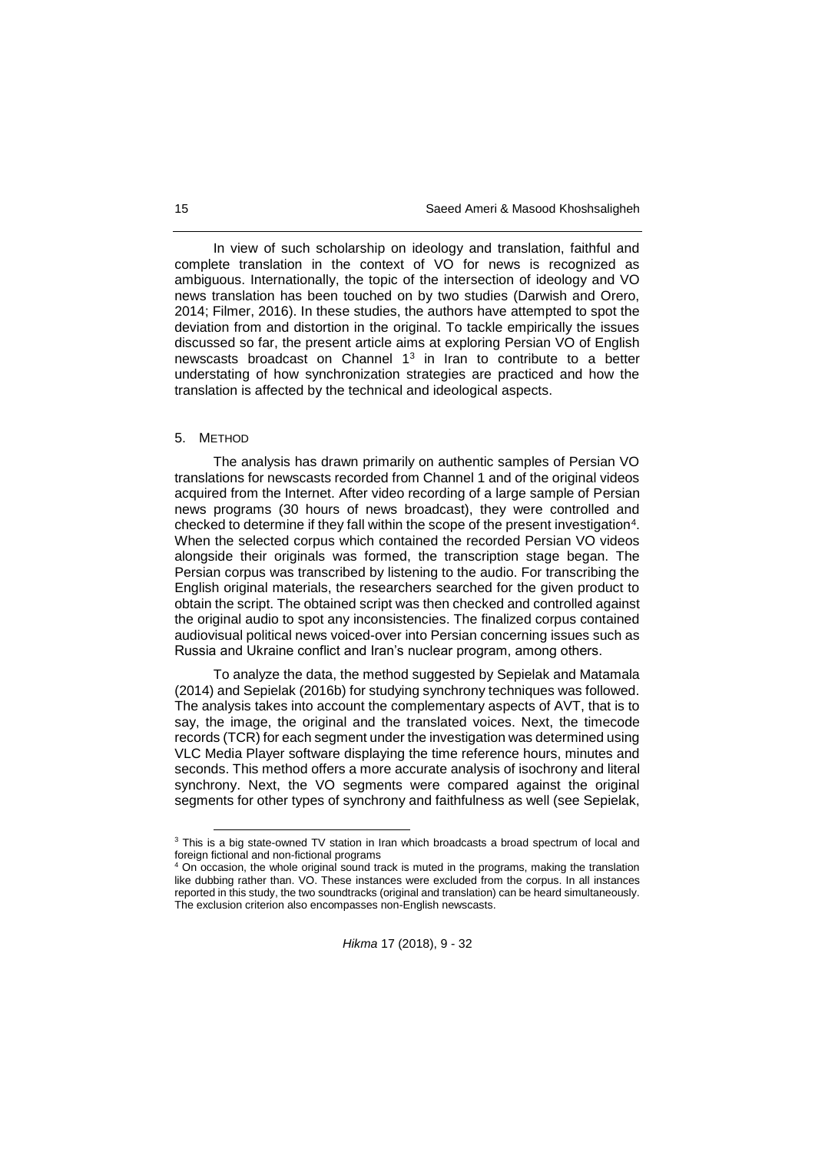In view of such scholarship on ideology and translation, faithful and complete translation in the context of VO for news is recognized as ambiguous. Internationally, the topic of the intersection of ideology and VO news translation has been touched on by two studies (Darwish and Orero, 2014; Filmer, 2016). In these studies, the authors have attempted to spot the deviation from and distortion in the original. To tackle empirically the issues discussed so far, the present article aims at exploring Persian VO of English newscasts broadcast on Channel 1<sup>3</sup> in Iran to contribute to a better understating of how synchronization strategies are practiced and how the translation is affected by the technical and ideological aspects.

#### 5. METHOD

l

The analysis has drawn primarily on authentic samples of Persian VO translations for newscasts recorded from Channel 1 and of the original videos acquired from the Internet. After video recording of a large sample of Persian news programs (30 hours of news broadcast), they were controlled and checked to determine if they fall within the scope of the present investigation<sup>4</sup>. When the selected corpus which contained the recorded Persian VO videos alongside their originals was formed, the transcription stage began. The Persian corpus was transcribed by listening to the audio. For transcribing the English original materials, the researchers searched for the given product to obtain the script. The obtained script was then checked and controlled against the original audio to spot any inconsistencies. The finalized corpus contained audiovisual political news voiced-over into Persian concerning issues such as Russia and Ukraine conflict and Iran's nuclear program, among others.

To analyze the data, the method suggested by Sepielak and Matamala (2014) and Sepielak (2016b) for studying synchrony techniques was followed. The analysis takes into account the complementary aspects of AVT, that is to say, the image, the original and the translated voices. Next, the timecode records (TCR) for each segment under the investigation was determined using VLC Media Player software displaying the time reference hours, minutes and seconds. This method offers a more accurate analysis of isochrony and literal synchrony. Next, the VO segments were compared against the original segments for other types of synchrony and faithfulness as well (see Sepielak,

<sup>&</sup>lt;sup>3</sup> This is a big state-owned TV station in Iran which broadcasts a broad spectrum of local and foreign fictional and non-fictional programs

On occasion, the whole original sound track is muted in the programs, making the translation like dubbing rather than. VO. These instances were excluded from the corpus. In all instances reported in this study, the two soundtracks (original and translation) can be heard simultaneously. The exclusion criterion also encompasses non-English newscasts.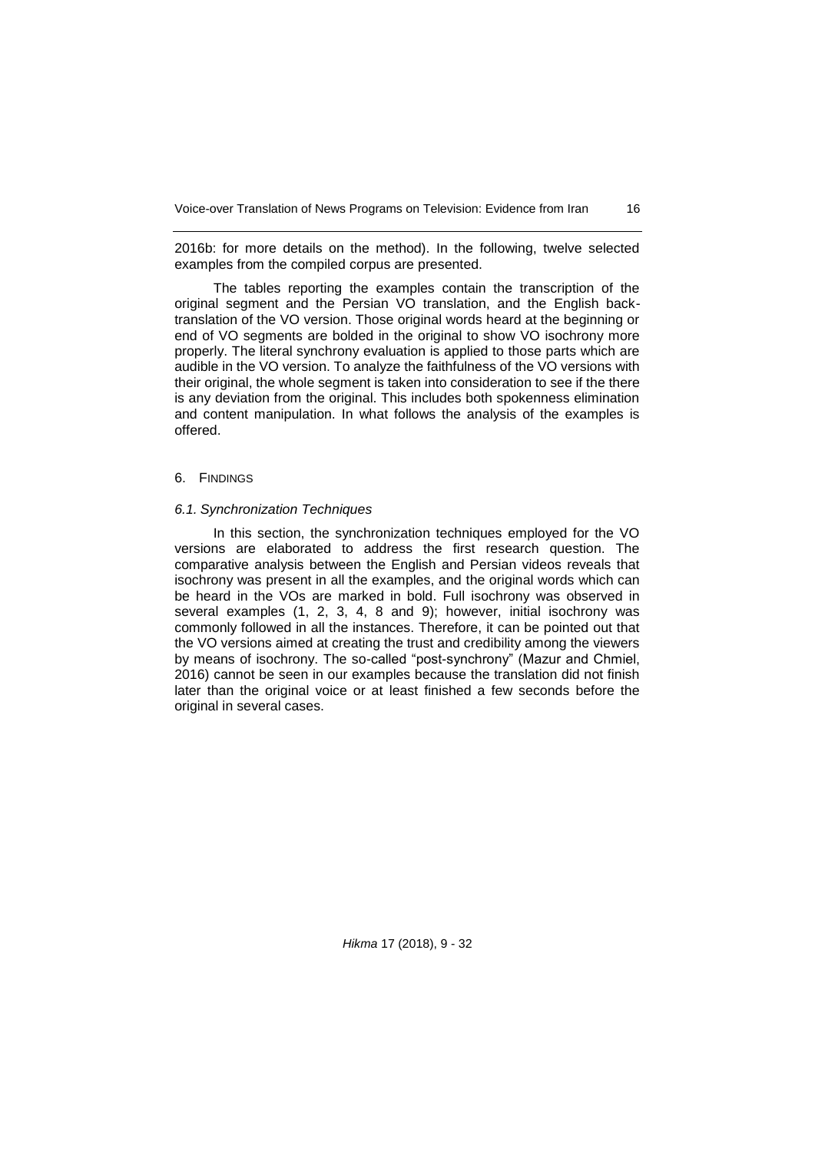2016b: for more details on the method). In the following, twelve selected examples from the compiled corpus are presented.

The tables reporting the examples contain the transcription of the original segment and the Persian VO translation, and the English backtranslation of the VO version. Those original words heard at the beginning or end of VO segments are bolded in the original to show VO isochrony more properly. The literal synchrony evaluation is applied to those parts which are audible in the VO version. To analyze the faithfulness of the VO versions with their original, the whole segment is taken into consideration to see if the there is any deviation from the original. This includes both spokenness elimination and content manipulation. In what follows the analysis of the examples is offered.

### 6. FINDINGS

#### *6.1. Synchronization Techniques*

In this section, the synchronization techniques employed for the VO versions are elaborated to address the first research question. The comparative analysis between the English and Persian videos reveals that isochrony was present in all the examples, and the original words which can be heard in the VOs are marked in bold. Full isochrony was observed in several examples (1, 2, 3, 4, 8 and 9); however, initial isochrony was commonly followed in all the instances. Therefore, it can be pointed out that the VO versions aimed at creating the trust and credibility among the viewers by means of isochrony. The so-called "post-synchrony" (Mazur and Chmiel, 2016) cannot be seen in our examples because the translation did not finish later than the original voice or at least finished a few seconds before the original in several cases.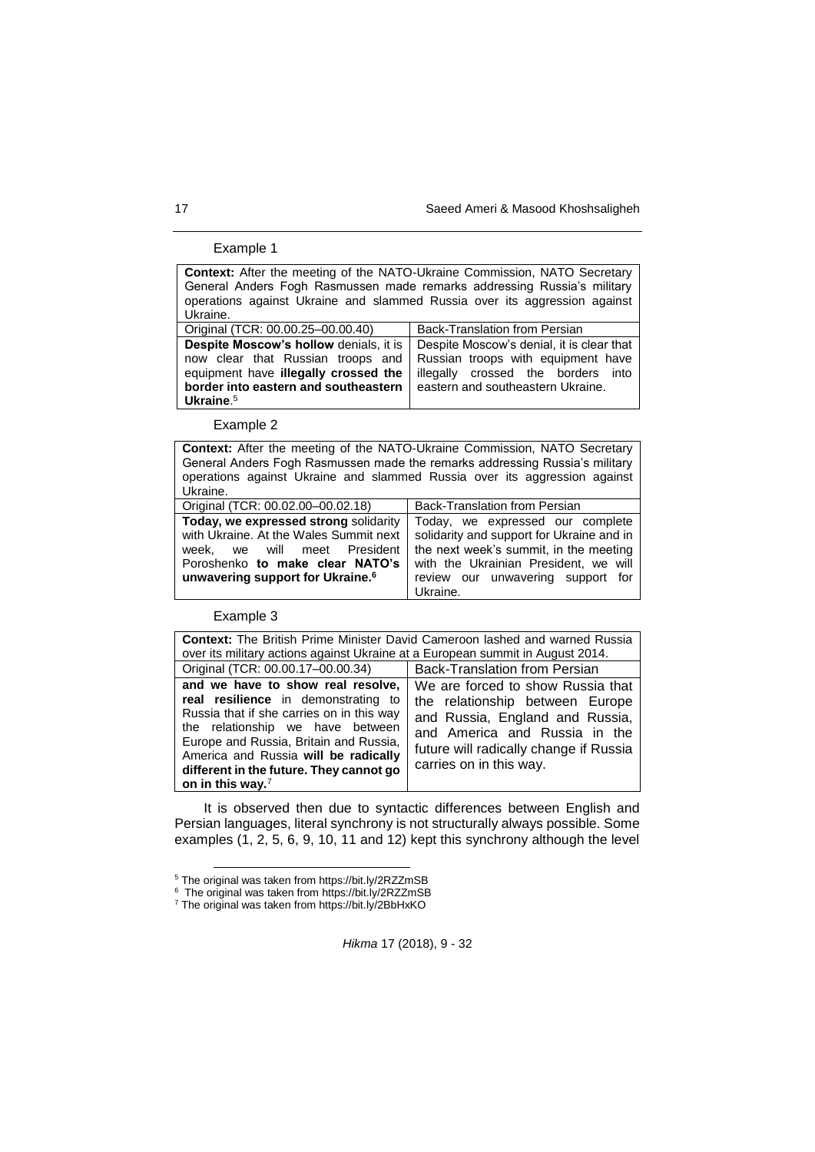## Example 1

| <b>Context:</b> After the meeting of the NATO-Ukraine Commission, NATO Secretary<br>General Anders Fogh Rasmussen made remarks addressing Russia's military<br>operations against Ukraine and slammed Russia over its aggression against<br>Ukraine. |                                                                                                                                                            |
|------------------------------------------------------------------------------------------------------------------------------------------------------------------------------------------------------------------------------------------------------|------------------------------------------------------------------------------------------------------------------------------------------------------------|
| Original (TCR: 00.00.25-00.00.40)                                                                                                                                                                                                                    | Back-Translation from Persian                                                                                                                              |
| Despite Moscow's hollow denials, it is<br>now clear that Russian troops and<br>equipment have illegally crossed the<br>border into eastern and southeastern<br>Ukraine. $5$                                                                          | Despite Moscow's denial, it is clear that<br>Russian troops with equipment have<br>illegally crossed the borders into<br>eastern and southeastern Ukraine. |

Example 2

| Context: After the meeting of the NATO-Ukraine Commission, NATO Secretary<br>General Anders Fogh Rasmussen made the remarks addressing Russia's military<br>operations against Ukraine and slammed Russia over its aggression against<br>Ukraine. |                                                                                                                                                                                                                   |
|---------------------------------------------------------------------------------------------------------------------------------------------------------------------------------------------------------------------------------------------------|-------------------------------------------------------------------------------------------------------------------------------------------------------------------------------------------------------------------|
| Original (TCR: 00.02.00-00.02.18)                                                                                                                                                                                                                 | Back-Translation from Persian                                                                                                                                                                                     |
| Today, we expressed strong solidarity<br>with Ukraine. At the Wales Summit next<br>President<br>we will meet<br>week.<br>Poroshenko to make clear NATO's<br>unwavering support for Ukraine. <sup>6</sup>                                          | Today, we expressed our complete<br>solidarity and support for Ukraine and in<br>the next week's summit, in the meeting<br>with the Ukrainian President, we will<br>review our unwavering support for<br>Ukraine. |

Example 3

l

| <b>Context:</b> The British Prime Minister David Cameroon lashed and warned Russia<br>over its military actions against Ukraine at a European summit in August 2014.                                                                                                                                          |                                                                                                                                                                                                               |
|---------------------------------------------------------------------------------------------------------------------------------------------------------------------------------------------------------------------------------------------------------------------------------------------------------------|---------------------------------------------------------------------------------------------------------------------------------------------------------------------------------------------------------------|
| Original (TCR: 00.00.17-00.00.34)                                                                                                                                                                                                                                                                             | <b>Back-Translation from Persian</b>                                                                                                                                                                          |
| and we have to show real resolve,<br>real resilience in demonstrating to<br>Russia that if she carries on in this way<br>the relationship we have between<br>Europe and Russia, Britain and Russia,<br>America and Russia will be radically<br>different in the future. They cannot go<br>on in this way. $7$ | We are forced to show Russia that<br>the relationship between Europe<br>and Russia, England and Russia,<br>and America and Russia in the<br>future will radically change if Russia<br>carries on in this way. |

It is observed then due to syntactic differences between English and Persian languages, literal synchrony is not structurally always possible. Some examples (1, 2, 5, 6, 9, 10, 11 and 12) kept this synchrony although the level

<sup>&</sup>lt;sup>5</sup> The original was taken from https://bit.ly/2RZZmSB<br><sup>6</sup> The original was taken from https://bit.ly/2RZZmSB

<sup>7</sup> The original was taken from https://bit.ly/2BbHxKO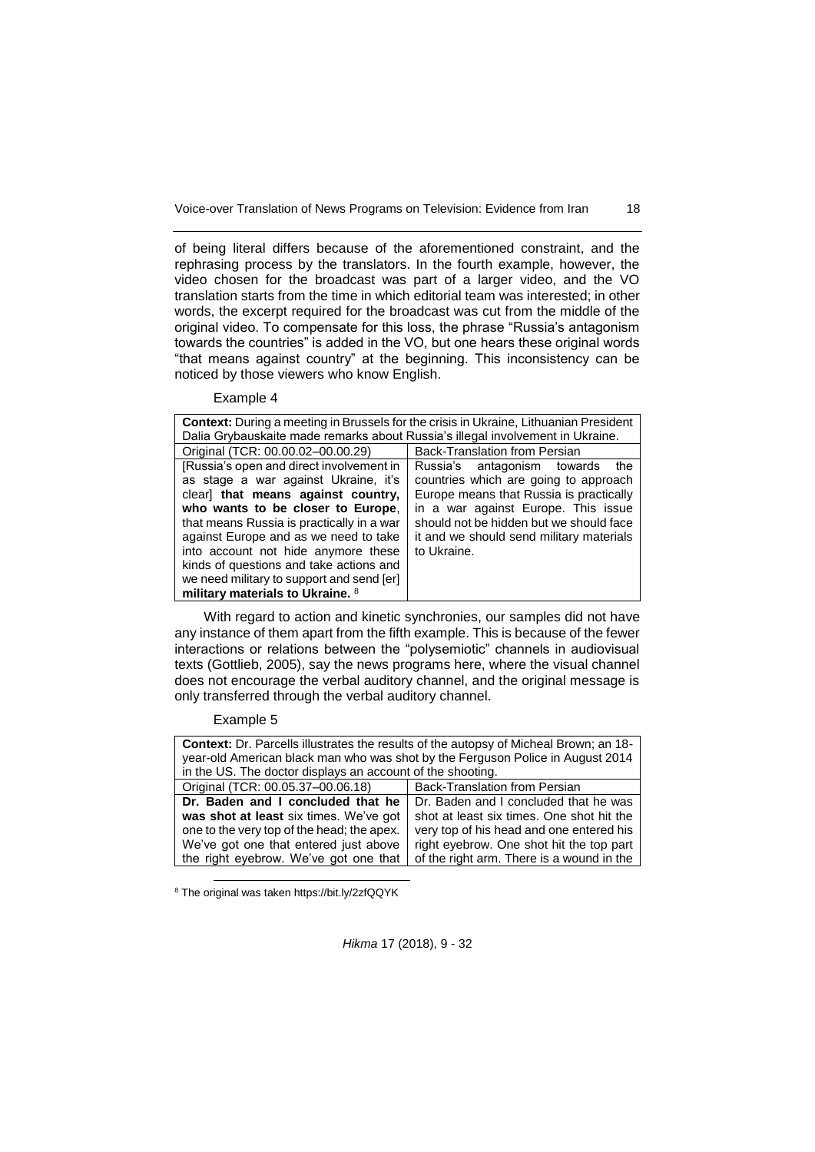of being literal differs because of the aforementioned constraint, and the rephrasing process by the translators. In the fourth example, however, the video chosen for the broadcast was part of a larger video, and the VO translation starts from the time in which editorial team was interested; in other words, the excerpt required for the broadcast was cut from the middle of the original video. To compensate for this loss, the phrase "Russia's antagonism towards the countries" is added in the VO, but one hears these original words "that means against country" at the beginning. This inconsistency can be noticed by those viewers who know English.

Example 4

| <b>Context:</b> During a meeting in Brussels for the crisis in Ukraine, Lithuanian President |                                          |
|----------------------------------------------------------------------------------------------|------------------------------------------|
| Dalia Grybauskaite made remarks about Russia's illegal involvement in Ukraine.               |                                          |
| Original (TCR: 00.00.02-00.00.29)                                                            | <b>Back-Translation from Persian</b>     |
| [Russia's open and direct involvement in                                                     | Russia's antagonism towards<br>the       |
| as stage a war against Ukraine, it's                                                         | countries which are going to approach    |
| clear] that means against country,                                                           | Europe means that Russia is practically  |
| who wants to be closer to Europe,                                                            | in a war against Europe. This issue      |
| that means Russia is practically in a war                                                    | should not be hidden but we should face  |
| against Europe and as we need to take                                                        | it and we should send military materials |
| into account not hide anymore these                                                          | to Ukraine.                              |
| kinds of questions and take actions and                                                      |                                          |
| we need military to support and send [er]                                                    |                                          |
| military materials to Ukraine. 8                                                             |                                          |

With regard to action and kinetic synchronies, our samples did not have any instance of them apart from the fifth example. This is because of the fewer interactions or relations between the "polysemiotic" channels in audiovisual texts (Gottlieb, 2005), say the news programs here, where the visual channel does not encourage the verbal auditory channel, and the original message is only transferred through the verbal auditory channel.

### Example 5

l

| Context: Dr. Parcells illustrates the results of the autopsy of Micheal Brown; an 18-<br>year-old American black man who was shot by the Ferguson Police in August 2014<br>in the US. The doctor displays an account of the shooting. |                                           |
|---------------------------------------------------------------------------------------------------------------------------------------------------------------------------------------------------------------------------------------|-------------------------------------------|
| Original (TCR: 00.05.37-00.06.18)                                                                                                                                                                                                     | Back-Translation from Persian             |
| Dr. Baden and I concluded that he                                                                                                                                                                                                     | Dr. Baden and I concluded that he was     |
| was shot at least six times. We've got                                                                                                                                                                                                | shot at least six times. One shot hit the |
| one to the very top of the head; the apex.                                                                                                                                                                                            | very top of his head and one entered his  |
| We've got one that entered just above                                                                                                                                                                                                 | right eyebrow. One shot hit the top part  |
| the right eyebrow. We've got one that                                                                                                                                                                                                 | of the right arm. There is a wound in the |

<sup>8</sup> The original was taken https://bit.ly/2zfQQYK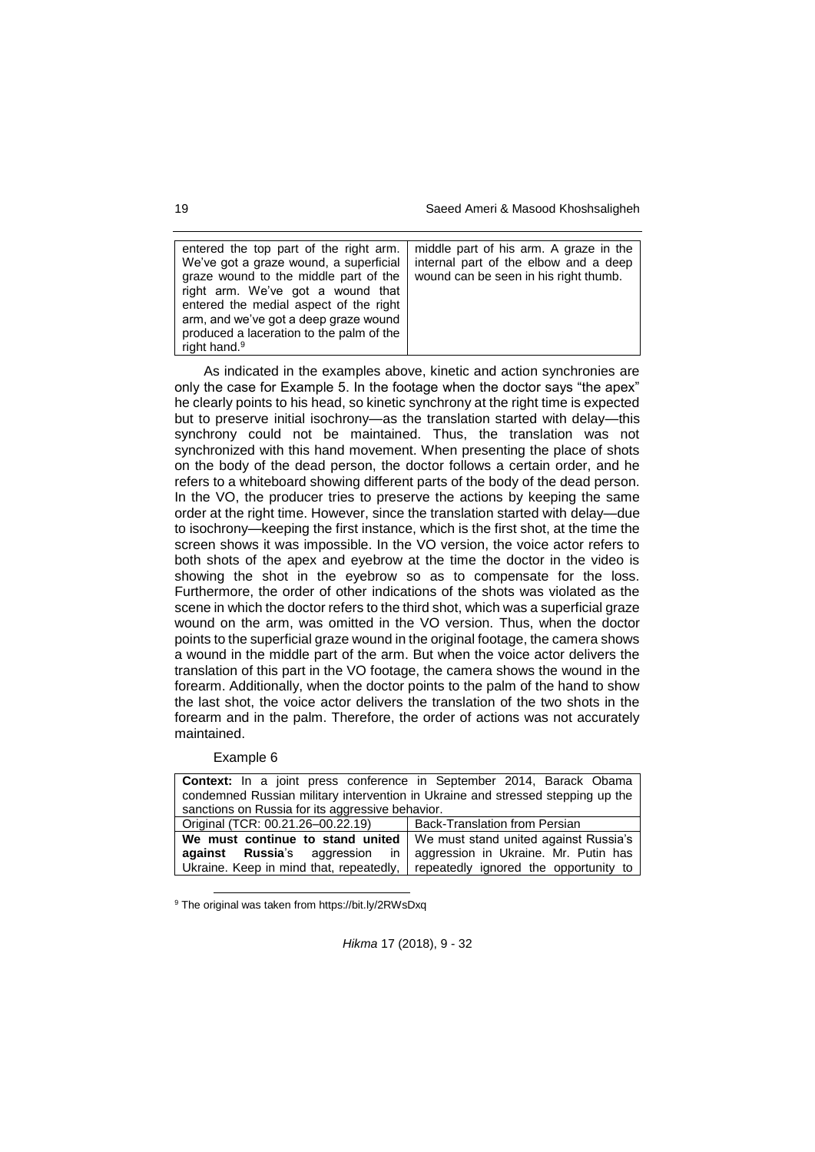19 Saeed Ameri & Masood Khoshsaligheh

| entered the top part of the right arm.<br>We've got a graze wound, a superficial<br>graze wound to the middle part of the<br>right arm. We've got a wound that<br>entered the medial aspect of the right<br>arm, and we've got a deep graze wound<br>produced a laceration to the palm of the<br>right hand. <sup>9</sup> | middle part of his arm. A graze in the<br>internal part of the elbow and a deep<br>wound can be seen in his right thumb. |
|---------------------------------------------------------------------------------------------------------------------------------------------------------------------------------------------------------------------------------------------------------------------------------------------------------------------------|--------------------------------------------------------------------------------------------------------------------------|

As indicated in the examples above, kinetic and action synchronies are only the case for Example 5. In the footage when the doctor says "the apex" he clearly points to his head, so kinetic synchrony at the right time is expected but to preserve initial isochrony—as the translation started with delay—this synchrony could not be maintained. Thus, the translation was not synchronized with this hand movement. When presenting the place of shots on the body of the dead person, the doctor follows a certain order, and he refers to a whiteboard showing different parts of the body of the dead person. In the VO, the producer tries to preserve the actions by keeping the same order at the right time. However, since the translation started with delay—due to isochrony—keeping the first instance, which is the first shot, at the time the screen shows it was impossible. In the VO version, the voice actor refers to both shots of the apex and eyebrow at the time the doctor in the video is showing the shot in the eyebrow so as to compensate for the loss. Furthermore, the order of other indications of the shots was violated as the scene in which the doctor refers to the third shot, which was a superficial graze wound on the arm, was omitted in the VO version. Thus, when the doctor points to the superficial graze wound in the original footage, the camera shows a wound in the middle part of the arm. But when the voice actor delivers the translation of this part in the VO footage, the camera shows the wound in the forearm. Additionally, when the doctor points to the palm of the hand to show the last shot, the voice actor delivers the translation of the two shots in the forearm and in the palm. Therefore, the order of actions was not accurately maintained.

### Example 6

l

| <b>Context:</b> In a joint press conference in September 2014, Barack Obama     |                                                                               |
|---------------------------------------------------------------------------------|-------------------------------------------------------------------------------|
| condemned Russian military intervention in Ukraine and stressed stepping up the |                                                                               |
| sanctions on Russia for its aggressive behavior.                                |                                                                               |
| Original (TCR: 00.21.26-00.22.19)                                               | Back-Translation from Persian                                                 |
| We must continue to stand united   We must stand united against Russia's        |                                                                               |
| <b>against Russia</b> 's aggression in                                          | aggression in Ukraine. Mr. Putin has                                          |
|                                                                                 | Ukraine. Keep in mind that, repeatedly, repeatedly ignored the opportunity to |

<sup>9</sup> The original was taken from https://bit.ly/2RWsDxq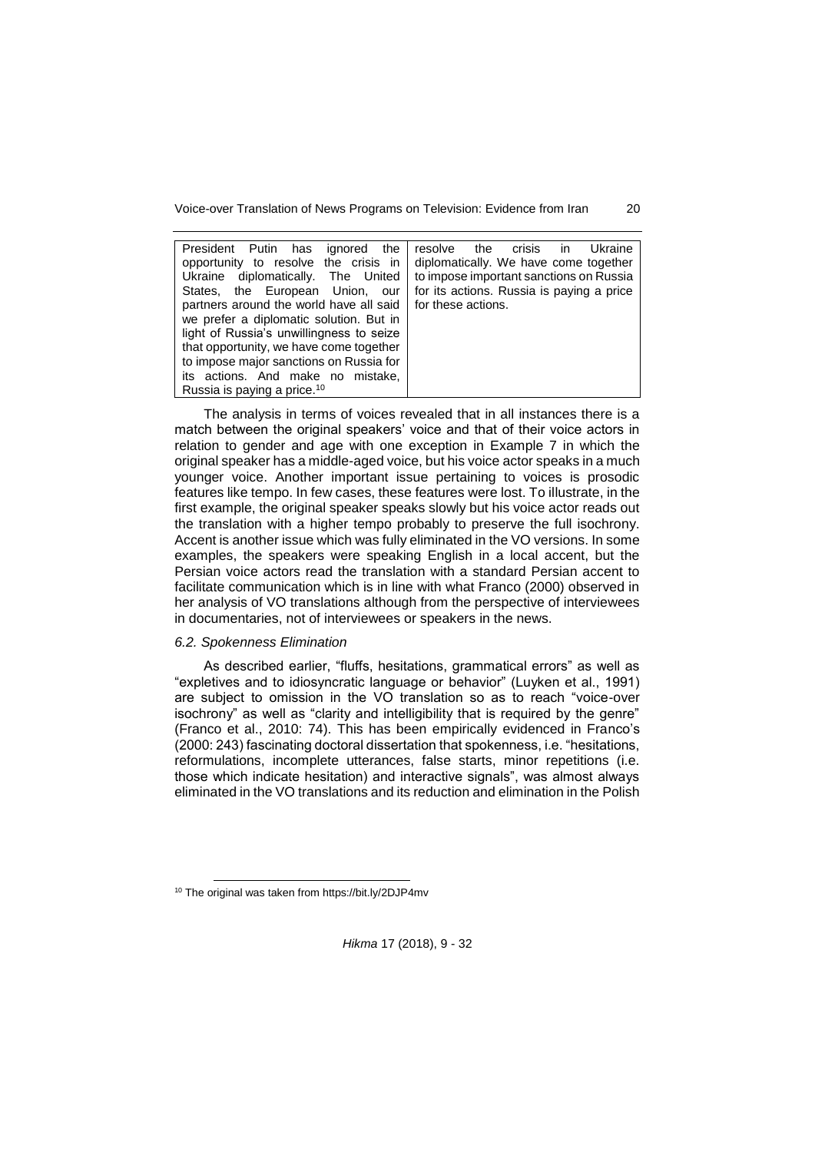| President Putin has<br>ignored the       | crisis<br>the<br>Ukraine<br>resolve<br>in. |
|------------------------------------------|--------------------------------------------|
| opportunity to resolve the crisis in     | diplomatically. We have come together      |
| diplomatically. The United<br>Ukraine    | to impose important sanctions on Russia    |
| States, the European Union, our          | for its actions. Russia is paying a price  |
| partners around the world have all said  | for these actions.                         |
| we prefer a diplomatic solution. But in  |                                            |
| light of Russia's unwillingness to seize |                                            |
| that opportunity, we have come together  |                                            |
| to impose major sanctions on Russia for  |                                            |
| its actions. And make no mistake,        |                                            |
| Russia is paying a price. <sup>10</sup>  |                                            |

The analysis in terms of voices revealed that in all instances there is a match between the original speakers' voice and that of their voice actors in relation to gender and age with one exception in Example 7 in which the original speaker has a middle-aged voice, but his voice actor speaks in a much younger voice. Another important issue pertaining to voices is prosodic features like tempo. In few cases, these features were lost. To illustrate, in the first example, the original speaker speaks slowly but his voice actor reads out the translation with a higher tempo probably to preserve the full isochrony. Accent is another issue which was fully eliminated in the VO versions. In some examples, the speakers were speaking English in a local accent, but the Persian voice actors read the translation with a standard Persian accent to facilitate communication which is in line with what Franco (2000) observed in her analysis of VO translations although from the perspective of interviewees in documentaries, not of interviewees or speakers in the news.

## *6.2. Spokenness Elimination*

As described earlier, "fluffs, hesitations, grammatical errors" as well as "expletives and to idiosyncratic language or behavior" (Luyken et al., 1991) are subject to omission in the VO translation so as to reach "voice-over isochrony" as well as "clarity and intelligibility that is required by the genre" (Franco et al., 2010: 74). This has been empirically evidenced in Franco's (2000: 243) fascinating doctoral dissertation that spokenness, i.e. "hesitations, reformulations, incomplete utterances, false starts, minor repetitions (i.e. those which indicate hesitation) and interactive signals", was almost always eliminated in the VO translations and its reduction and elimination in the Polish

l <sup>10</sup> The original was taken from https://bit.ly/2DJP4mv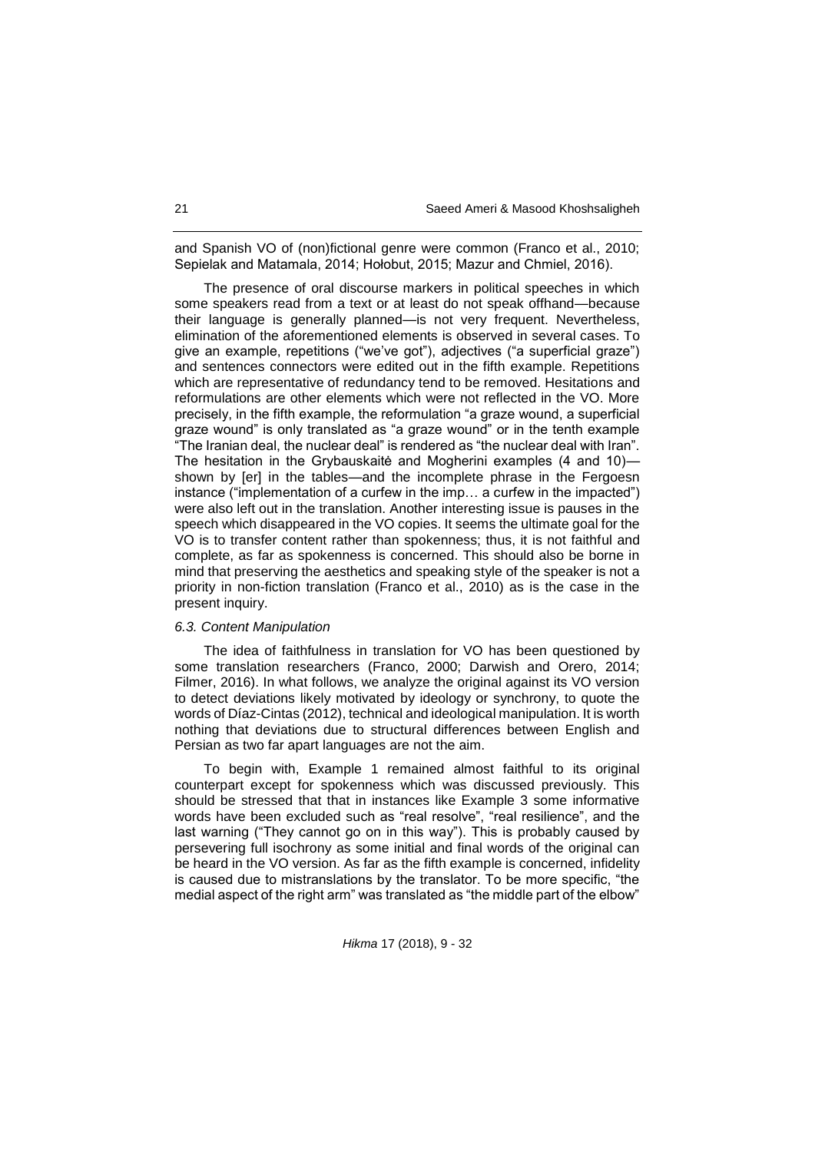and Spanish VO of (non)fictional genre were common (Franco et al., 2010; Sepielak and Matamala, 2014; Hołobut, 2015; Mazur and Chmiel, 2016).

The presence of oral discourse markers in political speeches in which some speakers read from a text or at least do not speak offhand—because their language is generally planned—is not very frequent. Nevertheless, elimination of the aforementioned elements is observed in several cases. To give an example, repetitions ("we've got"), adjectives ("a superficial graze") and sentences connectors were edited out in the fifth example. Repetitions which are representative of redundancy tend to be removed. Hesitations and reformulations are other elements which were not reflected in the VO. More precisely, in the fifth example, the reformulation "a graze wound, a superficial graze wound" is only translated as "a graze wound" or in the tenth example "The Iranian deal, the nuclear deal" is rendered as "the nuclear deal with Iran". The hesitation in the Grybauskaitė and Mogherini examples (4 and 10) shown by [er] in the tables—and the incomplete phrase in the Fergoesn instance ("implementation of a curfew in the imp… a curfew in the impacted") were also left out in the translation. Another interesting issue is pauses in the speech which disappeared in the VO copies. It seems the ultimate goal for the VO is to transfer content rather than spokenness; thus, it is not faithful and complete, as far as spokenness is concerned. This should also be borne in mind that preserving the aesthetics and speaking style of the speaker is not a priority in non-fiction translation (Franco et al., 2010) as is the case in the present inquiry.

#### *6.3. Content Manipulation*

The idea of faithfulness in translation for VO has been questioned by some translation researchers (Franco, 2000; Darwish and Orero, 2014; Filmer, 2016). In what follows, we analyze the original against its VO version to detect deviations likely motivated by ideology or synchrony, to quote the words of Díaz-Cintas (2012), technical and ideological manipulation. It is worth nothing that deviations due to structural differences between English and Persian as two far apart languages are not the aim.

To begin with, Example 1 remained almost faithful to its original counterpart except for spokenness which was discussed previously. This should be stressed that that in instances like Example 3 some informative words have been excluded such as "real resolve", "real resilience", and the last warning ("They cannot go on in this way"). This is probably caused by persevering full isochrony as some initial and final words of the original can be heard in the VO version. As far as the fifth example is concerned, infidelity is caused due to mistranslations by the translator. To be more specific, "the medial aspect of the right arm" was translated as "the middle part of the elbow"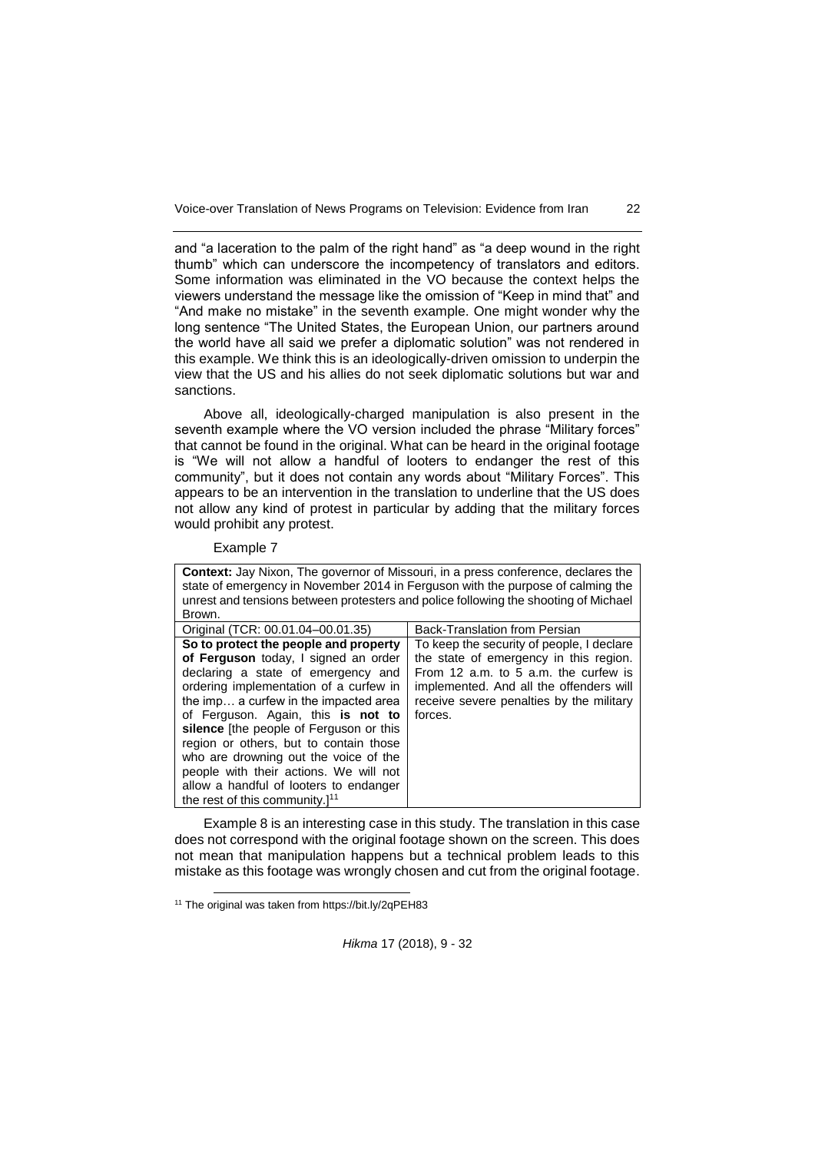and "a laceration to the palm of the right hand" as "a deep wound in the right thumb" which can underscore the incompetency of translators and editors. Some information was eliminated in the VO because the context helps the viewers understand the message like the omission of "Keep in mind that" and "And make no mistake" in the seventh example. One might wonder why the long sentence "The United States, the European Union, our partners around the world have all said we prefer a diplomatic solution" was not rendered in this example. We think this is an ideologically-driven omission to underpin the view that the US and his allies do not seek diplomatic solutions but war and sanctions.

Above all, ideologically-charged manipulation is also present in the seventh example where the VO version included the phrase "Military forces" that cannot be found in the original. What can be heard in the original footage is "We will not allow a handful of looters to endanger the rest of this community", but it does not contain any words about "Military Forces". This appears to be an intervention in the translation to underline that the US does not allow any kind of protest in particular by adding that the military forces would prohibit any protest.

Example 7

| <b>Context:</b> Jay Nixon, The governor of Missouri, in a press conference, declares the<br>state of emergency in November 2014 in Ferguson with the purpose of calming the<br>unrest and tensions between protesters and police following the shooting of Michael<br>Brown.                                                                                                                                                                                                                           |                                                                                                                                                                                                                               |
|--------------------------------------------------------------------------------------------------------------------------------------------------------------------------------------------------------------------------------------------------------------------------------------------------------------------------------------------------------------------------------------------------------------------------------------------------------------------------------------------------------|-------------------------------------------------------------------------------------------------------------------------------------------------------------------------------------------------------------------------------|
| Original (TCR: 00.01.04-00.01.35)                                                                                                                                                                                                                                                                                                                                                                                                                                                                      | <b>Back-Translation from Persian</b>                                                                                                                                                                                          |
| So to protect the people and property<br>of Ferguson today, I signed an order<br>declaring a state of emergency and<br>ordering implementation of a curfew in<br>the imp a curfew in the impacted area<br>of Ferguson. Again, this is not to<br>silence [the people of Ferguson or this<br>region or others, but to contain those<br>who are drowning out the voice of the<br>people with their actions. We will not<br>allow a handful of looters to endanger<br>the rest of this community. $]^{11}$ | To keep the security of people, I declare<br>the state of emergency in this region.<br>From 12 a.m. to 5 a.m. the curfew is<br>implemented. And all the offenders will<br>receive severe penalties by the military<br>forces. |

Example 8 is an interesting case in this study. The translation in this case does not correspond with the original footage shown on the screen. This does not mean that manipulation happens but a technical problem leads to this mistake as this footage was wrongly chosen and cut from the original footage.

l

<sup>11</sup> The original was taken from https://bit.ly/2qPEH83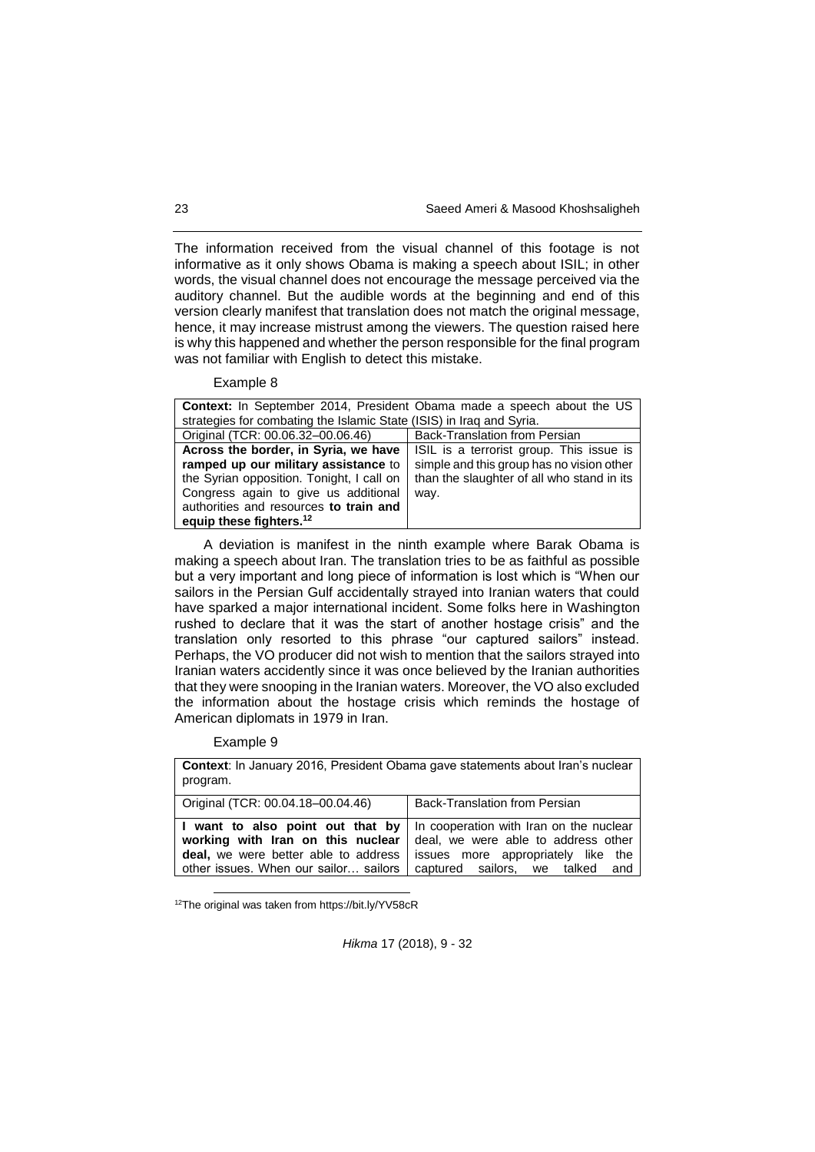The information received from the visual channel of this footage is not informative as it only shows Obama is making a speech about ISIL; in other words, the visual channel does not encourage the message perceived via the auditory channel. But the audible words at the beginning and end of this version clearly manifest that translation does not match the original message, hence, it may increase mistrust among the viewers. The question raised here is why this happened and whether the person responsible for the final program was not familiar with English to detect this mistake.

Example 8

| <b>Context:</b> In September 2014, President Obama made a speech about the US |                                            |
|-------------------------------------------------------------------------------|--------------------------------------------|
| strategies for combating the Islamic State (ISIS) in Iraq and Syria.          |                                            |
| Original (TCR: 00.06.32-00.06.46)                                             | Back-Translation from Persian              |
| Across the border, in Syria, we have                                          | ISIL is a terrorist group. This issue is   |
| ramped up our military assistance to                                          | simple and this group has no vision other  |
| the Syrian opposition. Tonight, I call on                                     | than the slaughter of all who stand in its |
| Congress again to give us additional                                          | way.                                       |
| authorities and resources to train and                                        |                                            |
| equip these fighters. <sup>12</sup>                                           |                                            |

A deviation is manifest in the ninth example where Barak Obama is making a speech about Iran. The translation tries to be as faithful as possible but a very important and long piece of information is lost which is "When our sailors in the Persian Gulf accidentally strayed into Iranian waters that could have sparked a major international incident. Some folks here in Washington rushed to declare that it was the start of another hostage crisis" and the translation only resorted to this phrase "our captured sailors" instead. Perhaps, the VO producer did not wish to mention that the sailors strayed into Iranian waters accidently since it was once believed by the Iranian authorities that they were snooping in the Iranian waters. Moreover, the VO also excluded the information about the hostage crisis which reminds the hostage of American diplomats in 1979 in Iran.

### Example 9

l

| <b>Context:</b> In January 2016, President Obama gave statements about Iran's nuclear<br>program.                                                             |                                                                                                                                                         |
|---------------------------------------------------------------------------------------------------------------------------------------------------------------|---------------------------------------------------------------------------------------------------------------------------------------------------------|
| Original (TCR: 00.04.18-00.04.46)                                                                                                                             | Back-Translation from Persian                                                                                                                           |
| I want to also point out that by<br>working with Iran on this nuclear<br><b>deal,</b> we were better able to address<br>other issues. When our sailor sailors | In cooperation with Iran on the nuclear<br>deal, we were able to address other<br>issues more appropriately like the<br>captured sailors, we talked and |

12The original was taken from https://bit.ly/YV58cR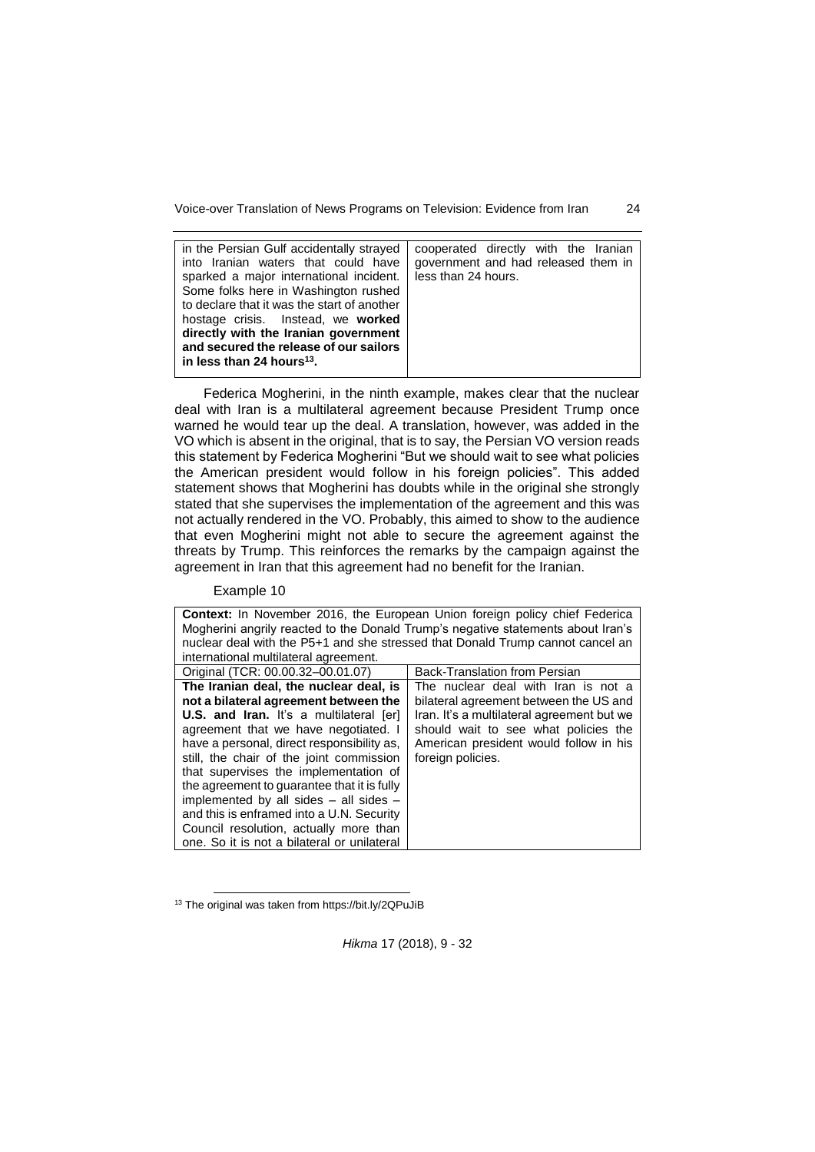| in the Persian Gulf accidentally strayed<br>into Iranian waters that could have<br>sparked a major international incident.<br>Some folks here in Washington rushed<br>to declare that it was the start of another<br>hostage crisis. Instead, we <b>worked</b><br>directly with the Iranian government<br>and secured the release of our sailors<br>in less than 24 hours <sup>13</sup> . | cooperated directly with the Iranian<br>government and had released them in<br>less than 24 hours. |
|-------------------------------------------------------------------------------------------------------------------------------------------------------------------------------------------------------------------------------------------------------------------------------------------------------------------------------------------------------------------------------------------|----------------------------------------------------------------------------------------------------|
|                                                                                                                                                                                                                                                                                                                                                                                           |                                                                                                    |

Federica Mogherini, in the ninth example, makes clear that the nuclear deal with Iran is a multilateral agreement because President Trump once warned he would tear up the deal. A translation, however, was added in the VO which is absent in the original, that is to say, the Persian VO version reads this statement by Federica Mogherini "But we should wait to see what policies the American president would follow in his foreign policies". This added statement shows that Mogherini has doubts while in the original she strongly stated that she supervises the implementation of the agreement and this was not actually rendered in the VO. Probably, this aimed to show to the audience that even Mogherini might not able to secure the agreement against the threats by Trump. This reinforces the remarks by the campaign against the agreement in Iran that this agreement had no benefit for the Iranian.

### Example 10

| <b>Context:</b> In November 2016, the European Union foreign policy chief Federica<br>Mogherini angrily reacted to the Donald Trump's negative statements about Iran's<br>nuclear deal with the P5+1 and she stressed that Donald Trump cannot cancel an<br>international multilateral agreement.                                                                                                                                                                                                                                           |                                                                                                                                                                                                                                    |  |
|---------------------------------------------------------------------------------------------------------------------------------------------------------------------------------------------------------------------------------------------------------------------------------------------------------------------------------------------------------------------------------------------------------------------------------------------------------------------------------------------------------------------------------------------|------------------------------------------------------------------------------------------------------------------------------------------------------------------------------------------------------------------------------------|--|
| Original (TCR: 00.00.32-00.01.07)                                                                                                                                                                                                                                                                                                                                                                                                                                                                                                           | <b>Back-Translation from Persian</b>                                                                                                                                                                                               |  |
| The Iranian deal, the nuclear deal, is<br>not a bilateral agreement between the<br><b>U.S. and Iran.</b> It's a multilateral [er]<br>agreement that we have negotiated. I<br>have a personal, direct responsibility as,<br>still, the chair of the joint commission<br>that supervises the implementation of<br>the agreement to guarantee that it is fully<br>implemented by all sides - all sides -<br>and this is enframed into a U.N. Security<br>Council resolution, actually more than<br>one. So it is not a bilateral or unilateral | The nuclear deal with Iran is not a<br>bilateral agreement between the US and<br>Iran. It's a multilateral agreement but we<br>should wait to see what policies the<br>American president would follow in his<br>foreign policies. |  |

<sup>&</sup>lt;sup>13</sup> The original was taken from https://bit.ly/2QPuJiB

l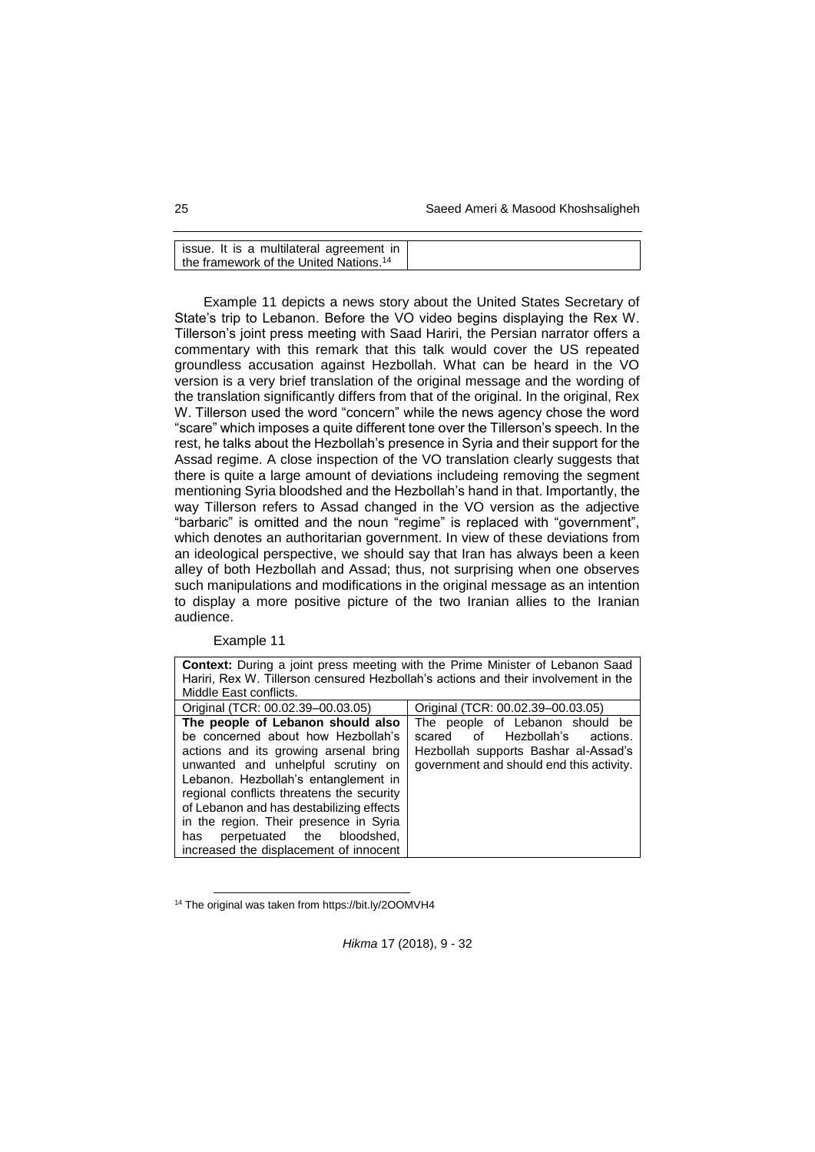25 Saeed Ameri & Masood Khoshsaligheh

| ssue. It is a multilateral agreement in |                                                    |  |
|-----------------------------------------|----------------------------------------------------|--|
|                                         |                                                    |  |
|                                         |                                                    |  |
|                                         | the framework of the United Nations. <sup>14</sup> |  |

Example 11 depicts a news story about the United States Secretary of State's trip to Lebanon. Before the VO video begins displaying the Rex W. Tillerson's joint press meeting with Saad Hariri, the Persian narrator offers a commentary with this remark that this talk would cover the US repeated groundless accusation against Hezbollah. What can be heard in the VO version is a very brief translation of the original message and the wording of the translation significantly differs from that of the original. In the original, Rex W. Tillerson used the word "concern" while the news agency chose the word "scare" which imposes a quite different tone over the Tillerson's speech. In the rest, he talks about the Hezbollah's presence in Syria and their support for the Assad regime. A close inspection of the VO translation clearly suggests that there is quite a large amount of deviations includeing removing the segment mentioning Syria bloodshed and the Hezbollah's hand in that. Importantly, the way Tillerson refers to Assad changed in the VO version as the adjective "barbaric" is omitted and the noun "regime" is replaced with "government", which denotes an authoritarian government. In view of these deviations from an ideological perspective, we should say that Iran has always been a keen alley of both Hezbollah and Assad; thus, not surprising when one observes such manipulations and modifications in the original message as an intention to display a more positive picture of the two Iranian allies to the Iranian audience.

Example 11

l

| <b>Context:</b> During a joint press meeting with the Prime Minister of Lebanon Saad                                                                                                                                                                                                                                              |                                                                                                                                                          |  |
|-----------------------------------------------------------------------------------------------------------------------------------------------------------------------------------------------------------------------------------------------------------------------------------------------------------------------------------|----------------------------------------------------------------------------------------------------------------------------------------------------------|--|
| Hariri, Rex W. Tillerson censured Hezbollah's actions and their involvement in the                                                                                                                                                                                                                                                |                                                                                                                                                          |  |
| Middle East conflicts.                                                                                                                                                                                                                                                                                                            |                                                                                                                                                          |  |
| Original (TCR: 00.02.39-00.03.05)                                                                                                                                                                                                                                                                                                 | Original (TCR: 00.02.39-00.03.05)                                                                                                                        |  |
| The people of Lebanon should also<br>be concerned about how Hezbollah's<br>actions and its growing arsenal bring<br>unwanted and unhelpful scrutiny on<br>Lebanon. Hezbollah's entanglement in<br>regional conflicts threatens the security<br>of Lebanon and has destabilizing effects<br>in the region. Their presence in Syria | The people of Lebanon should be<br>of Hezbollah's actions.<br>scared<br>Hezbollah supports Bashar al-Assad's<br>government and should end this activity. |  |
| perpetuated the bloodshed,<br>has<br>increased the displacement of innocent                                                                                                                                                                                                                                                       |                                                                                                                                                          |  |

<sup>14</sup> The original was taken from https://bit.ly/2OOMVH4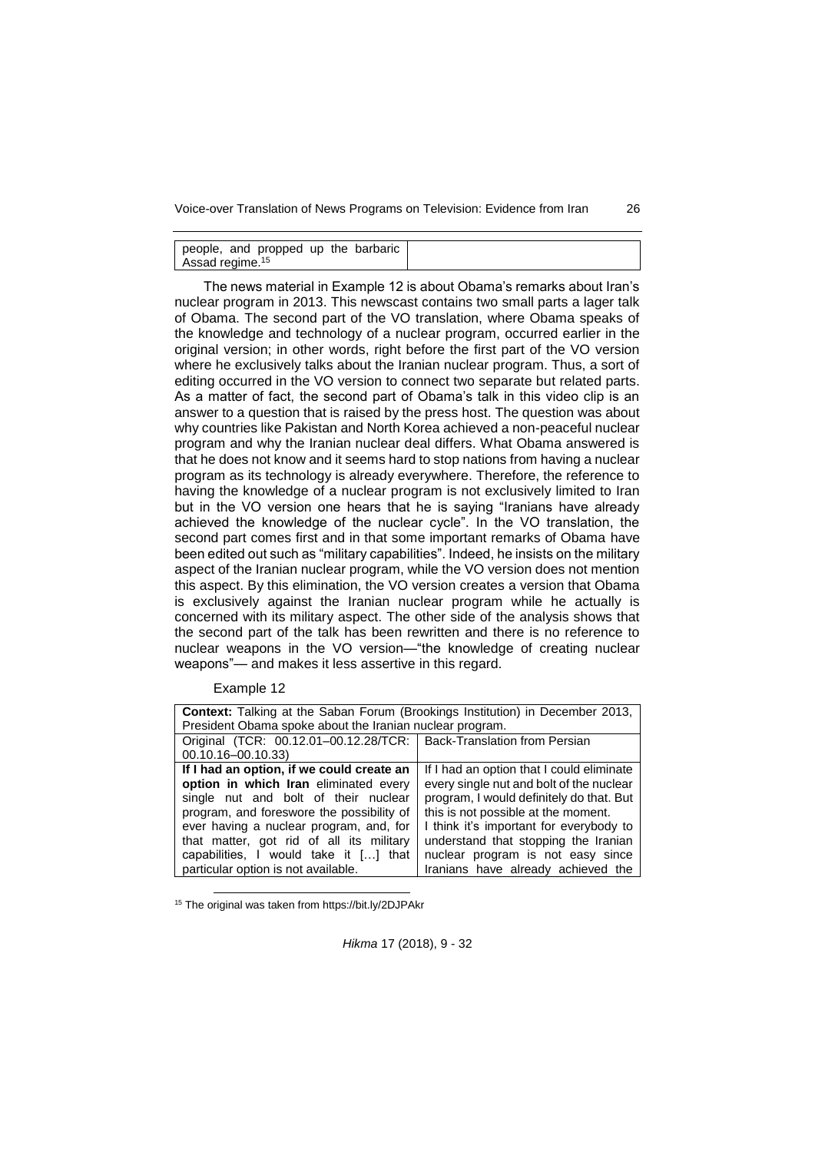people, and propped up the barbaric Assad regime.<sup>15</sup>

The news material in Example 12 is about Obama's remarks about Iran's nuclear program in 2013. This newscast contains two small parts a lager talk of Obama. The second part of the VO translation, where Obama speaks of the knowledge and technology of a nuclear program, occurred earlier in the original version; in other words, right before the first part of the VO version where he exclusively talks about the Iranian nuclear program. Thus, a sort of editing occurred in the VO version to connect two separate but related parts. As a matter of fact, the second part of Obama's talk in this video clip is an answer to a question that is raised by the press host. The question was about why countries like Pakistan and North Korea achieved a non-peaceful nuclear program and why the Iranian nuclear deal differs. What Obama answered is that he does not know and it seems hard to stop nations from having a nuclear program as its technology is already everywhere. Therefore, the reference to having the knowledge of a nuclear program is not exclusively limited to Iran but in the VO version one hears that he is saying "Iranians have already achieved the knowledge of the nuclear cycle". In the VO translation, the second part comes first and in that some important remarks of Obama have been edited out such as "military capabilities". Indeed, he insists on the military aspect of the Iranian nuclear program, while the VO version does not mention this aspect. By this elimination, the VO version creates a version that Obama is exclusively against the Iranian nuclear program while he actually is concerned with its military aspect. The other side of the analysis shows that the second part of the talk has been rewritten and there is no reference to nuclear weapons in the VO version—"the knowledge of creating nuclear weapons"— and makes it less assertive in this regard.

Example 12

l

| <b>Context:</b> Talking at the Saban Forum (Brookings Institution) in December 2013, |                                           |  |
|--------------------------------------------------------------------------------------|-------------------------------------------|--|
| President Obama spoke about the Iranian nuclear program.                             |                                           |  |
| Original (TCR: 00.12.01-00.12.28/TCR:   Back-Translation from Persian                |                                           |  |
| 00.10.16-00.10.33)                                                                   |                                           |  |
| If I had an option, if we could create an                                            | If I had an option that I could eliminate |  |
| option in which Iran eliminated every                                                | every single nut and bolt of the nuclear  |  |
| single nut and bolt of their nuclear                                                 | program, I would definitely do that. But  |  |
| program, and foreswore the possibility of                                            | this is not possible at the moment.       |  |
| ever having a nuclear program, and, for                                              | I think it's important for everybody to   |  |
| that matter, got rid of all its military                                             | understand that stopping the Iranian      |  |
| capabilities, I would take it [] that                                                | nuclear program is not easy since         |  |
| particular option is not available.                                                  | Iranians have already achieved the        |  |

<sup>15</sup> The original was taken from https://bit.ly/2DJPAkr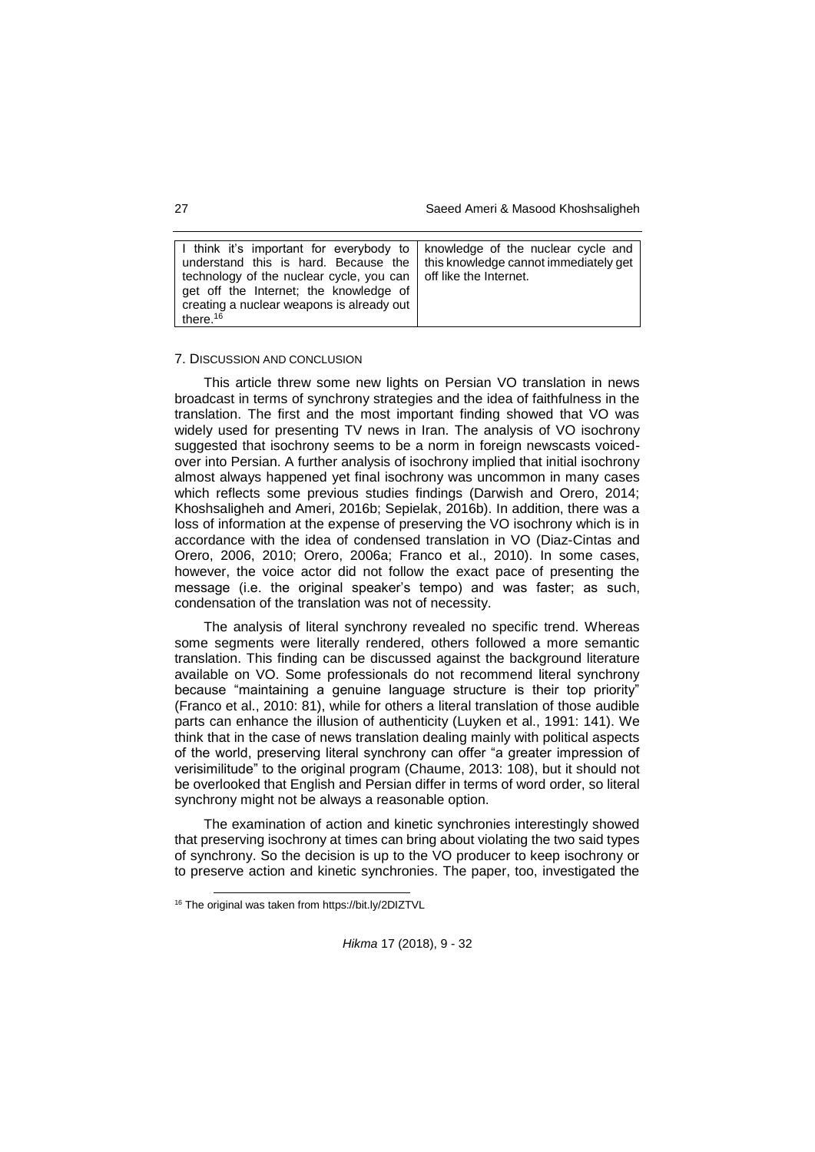27 Saeed Ameri & Masood Khoshsaligheh

| I think it's important for everybody to   knowledge of the nuclear cycle and       |  |
|------------------------------------------------------------------------------------|--|
| understand this is hard. Because the $\vert$ this knowledge cannot immediately get |  |
| technology of the nuclear cycle, you can   off like the Internet.                  |  |
| get off the Internet; the knowledge of                                             |  |
| creating a nuclear weapons is already out                                          |  |
| there. $16$                                                                        |  |

#### 7. DISCUSSION AND CONCLUSION

This article threw some new lights on Persian VO translation in news broadcast in terms of synchrony strategies and the idea of faithfulness in the translation. The first and the most important finding showed that VO was widely used for presenting TV news in Iran. The analysis of VO isochrony suggested that isochrony seems to be a norm in foreign newscasts voicedover into Persian. A further analysis of isochrony implied that initial isochrony almost always happened yet final isochrony was uncommon in many cases which reflects some previous studies findings (Darwish and Orero, 2014; Khoshsaligheh and Ameri, 2016b; Sepielak, 2016b). In addition, there was a loss of information at the expense of preserving the VO isochrony which is in accordance with the idea of condensed translation in VO (Diaz-Cintas and Orero, 2006, 2010; Orero, 2006a; Franco et al., 2010). In some cases, however, the voice actor did not follow the exact pace of presenting the message (i.e. the original speaker's tempo) and was faster; as such, condensation of the translation was not of necessity.

The analysis of literal synchrony revealed no specific trend. Whereas some segments were literally rendered, others followed a more semantic translation. This finding can be discussed against the background literature available on VO. Some professionals do not recommend literal synchrony because "maintaining a genuine language structure is their top priority" (Franco et al., 2010: 81), while for others a literal translation of those audible parts can enhance the illusion of authenticity (Luyken et al., 1991: 141). We think that in the case of news translation dealing mainly with political aspects of the world, preserving literal synchrony can offer "a greater impression of verisimilitude" to the original program (Chaume, 2013: 108), but it should not be overlooked that English and Persian differ in terms of word order, so literal synchrony might not be always a reasonable option.

The examination of action and kinetic synchronies interestingly showed that preserving isochrony at times can bring about violating the two said types of synchrony. So the decision is up to the VO producer to keep isochrony or to preserve action and kinetic synchronies. The paper, too, investigated the

l

<sup>16</sup> The original was taken from https://bit.ly/2DIZTVL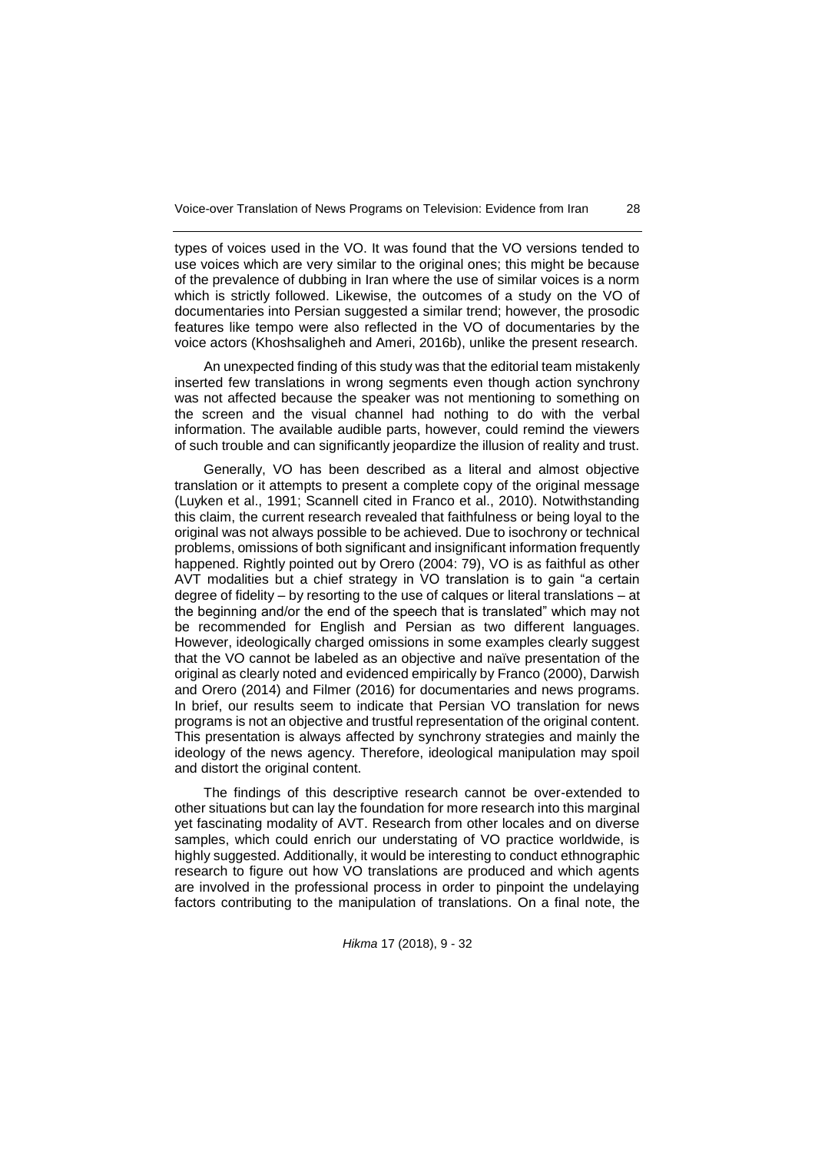types of voices used in the VO. It was found that the VO versions tended to use voices which are very similar to the original ones; this might be because of the prevalence of dubbing in Iran where the use of similar voices is a norm which is strictly followed. Likewise, the outcomes of a study on the VO of documentaries into Persian suggested a similar trend; however, the prosodic features like tempo were also reflected in the VO of documentaries by the voice actors (Khoshsaligheh and Ameri, 2016b), unlike the present research.

An unexpected finding of this study was that the editorial team mistakenly inserted few translations in wrong segments even though action synchrony was not affected because the speaker was not mentioning to something on the screen and the visual channel had nothing to do with the verbal information. The available audible parts, however, could remind the viewers of such trouble and can significantly jeopardize the illusion of reality and trust.

Generally, VO has been described as a literal and almost objective translation or it attempts to present a complete copy of the original message (Luyken et al., 1991; Scannell cited in Franco et al., 2010). Notwithstanding this claim, the current research revealed that faithfulness or being loyal to the original was not always possible to be achieved. Due to isochrony or technical problems, omissions of both significant and insignificant information frequently happened. Rightly pointed out by Orero (2004: 79), VO is as faithful as other AVT modalities but a chief strategy in VO translation is to gain "a certain degree of fidelity – by resorting to the use of calques or literal translations – at the beginning and/or the end of the speech that is translated" which may not be recommended for English and Persian as two different languages. However, ideologically charged omissions in some examples clearly suggest that the VO cannot be labeled as an objective and naïve presentation of the original as clearly noted and evidenced empirically by Franco (2000), Darwish and Orero (2014) and Filmer (2016) for documentaries and news programs. In brief, our results seem to indicate that Persian VO translation for news programs is not an objective and trustful representation of the original content. This presentation is always affected by synchrony strategies and mainly the ideology of the news agency. Therefore, ideological manipulation may spoil and distort the original content.

The findings of this descriptive research cannot be over-extended to other situations but can lay the foundation for more research into this marginal yet fascinating modality of AVT. Research from other locales and on diverse samples, which could enrich our understating of VO practice worldwide, is highly suggested. Additionally, it would be interesting to conduct ethnographic research to figure out how VO translations are produced and which agents are involved in the professional process in order to pinpoint the undelaying factors contributing to the manipulation of translations. On a final note, the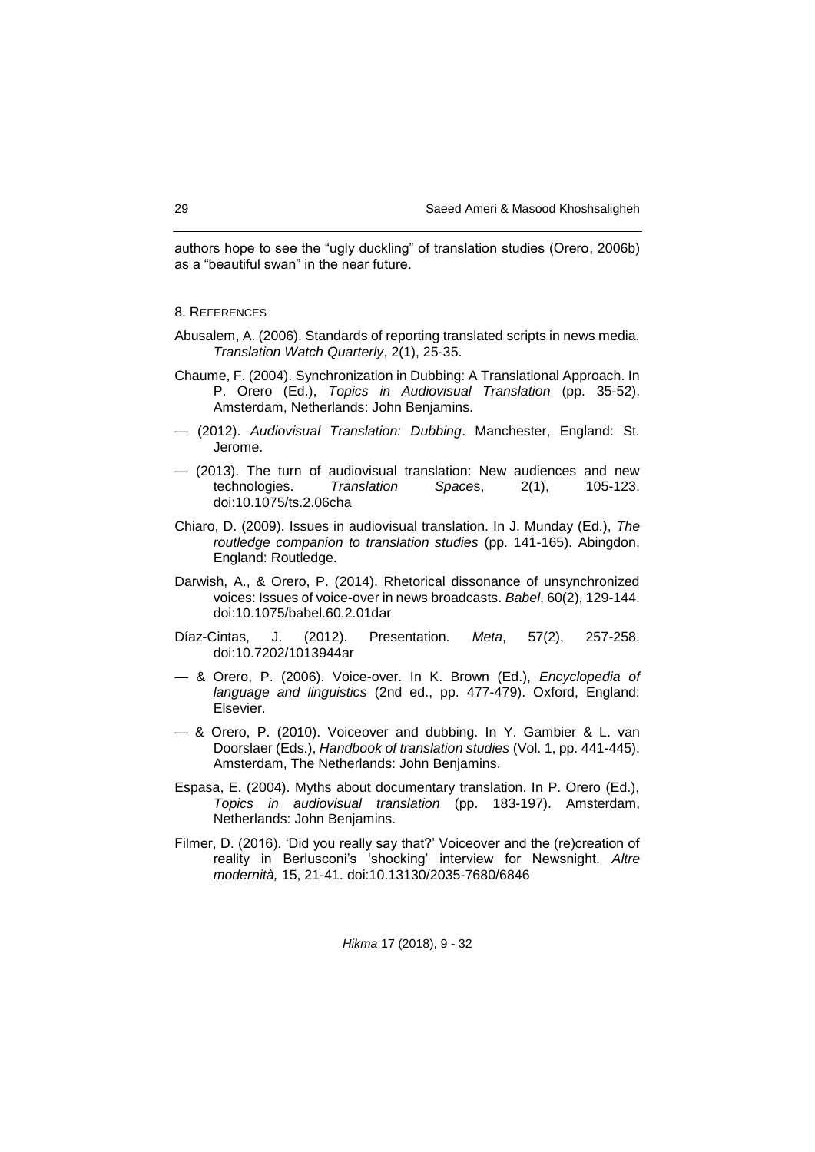authors hope to see the "ugly duckling" of translation studies (Orero, 2006b) as a "beautiful swan" in the near future.

### 8. REFERENCES

- Abusalem, A. (2006). Standards of reporting translated scripts in news media. *Translation Watch Quarterly*, 2(1), 25-35.
- Chaume, F. (2004). Synchronization in Dubbing: A Translational Approach. In P. Orero (Ed.), *Topics in Audiovisual Translation* (pp. 35-52). Amsterdam, Netherlands: John Benjamins.
- (2012). *Audiovisual Translation: Dubbing*. Manchester, England: St. Jerome.
- (2013). The turn of audiovisual translation: New audiences and new technologies. *Translation Space*s, 2(1), 105-123. doi:10.1075/ts.2.06cha
- Chiaro, D. (2009). Issues in audiovisual translation. In J. Munday (Ed.), *The routledge companion to translation studies* (pp. 141-165). Abingdon, England: Routledge.
- Darwish, A., & Orero, P. (2014). Rhetorical dissonance of unsynchronized voices: Issues of voice-over in news broadcasts. *Babel*, 60(2), 129-144. doi:10.1075/babel.60.2.01dar
- Díaz-Cintas, J. (2012). Presentation. *Meta*, 57(2), 257-258. doi:10.7202/1013944ar
- & Orero, P. (2006). Voice-over. In K. Brown (Ed.), *Encyclopedia of language and linguistics* (2nd ed., pp. 477-479). Oxford, England: Elsevier.
- & Orero, P. (2010). Voiceover and dubbing. In Y. Gambier & L. van Doorslaer (Eds.), *Handbook of translation studies* (Vol. 1, pp. 441-445). Amsterdam, The Netherlands: John Benjamins.
- Espasa, E. (2004). Myths about documentary translation. In P. Orero (Ed.), *Topics in audiovisual translation* (pp. 183-197). Amsterdam, Netherlands: John Benjamins.
- Filmer, D. (2016). 'Did you really say that?' Voiceover and the (re)creation of reality in Berlusconi's 'shocking' interview for Newsnight. *Altre modernità,* 15, 21-41. doi:10.13130/2035-7680/6846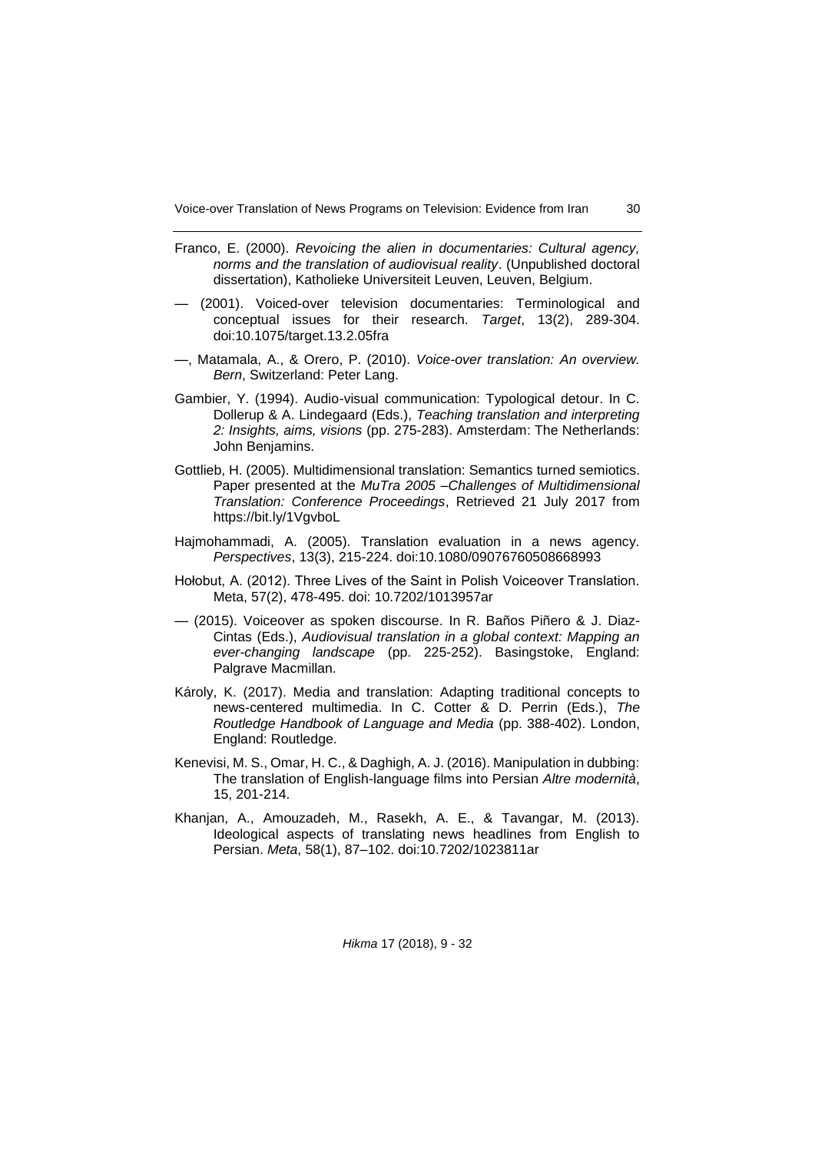- Franco, E. (2000). *Revoicing the alien in documentaries: Cultural agency, norms and the translation of audiovisual reality*. (Unpublished doctoral dissertation), Katholieke Universiteit Leuven, Leuven, Belgium.
- (2001). Voiced-over television documentaries: Terminological and conceptual issues for their research. *Target*, 13(2), 289-304. doi:10.1075/target.13.2.05fra
- —, Matamala, A., & Orero, P. (2010). *Voice-over translation: An overview. Bern*, Switzerland: Peter Lang.
- Gambier, Y. (1994). Audio-visual communication: Typological detour. In C. Dollerup & A. Lindegaard (Eds.), *Teaching translation and interpreting 2: Insights, aims, visions* (pp. 275-283). Amsterdam: The Netherlands: John Benjamins.
- Gottlieb, H. (2005). Multidimensional translation: Semantics turned semiotics. Paper presented at the *MuTra 2005 –Challenges of Multidimensional Translation: Conference Proceedings*, Retrieved 21 July 2017 from https://bit.ly/1VgvboL
- Hajmohammadi, A. (2005). Translation evaluation in a news agency. *Perspectives*, 13(3), 215-224. doi:10.1080/09076760508668993
- Hołobut, A. (2012). Three Lives of the Saint in Polish Voiceover Translation. Meta, 57(2), 478-495. doi: 10.7202/1013957ar
- (2015). Voiceover as spoken discourse. In R. Baños Piñero & J. Diaz-Cintas (Eds.), *Audiovisual translation in a global context: Mapping an ever-changing landscape* (pp. 225-252). Basingstoke, England: Palgrave Macmillan.
- Károly, K. (2017). Media and translation: Adapting traditional concepts to news-centered multimedia. In C. Cotter & D. Perrin (Eds.), *The Routledge Handbook of Language and Media* (pp. 388-402). London, England: Routledge.
- Kenevisi, M. S., Omar, H. C., & Daghigh, A. J. (2016). Manipulation in dubbing: The translation of English-language films into Persian *Altre modernità*, 15, 201-214.
- Khanjan, A., Amouzadeh, M., Rasekh, A. E., & Tavangar, M. (2013). Ideological aspects of translating news headlines from English to Persian. *Meta*, 58(1), 87–102. doi:10.7202/1023811ar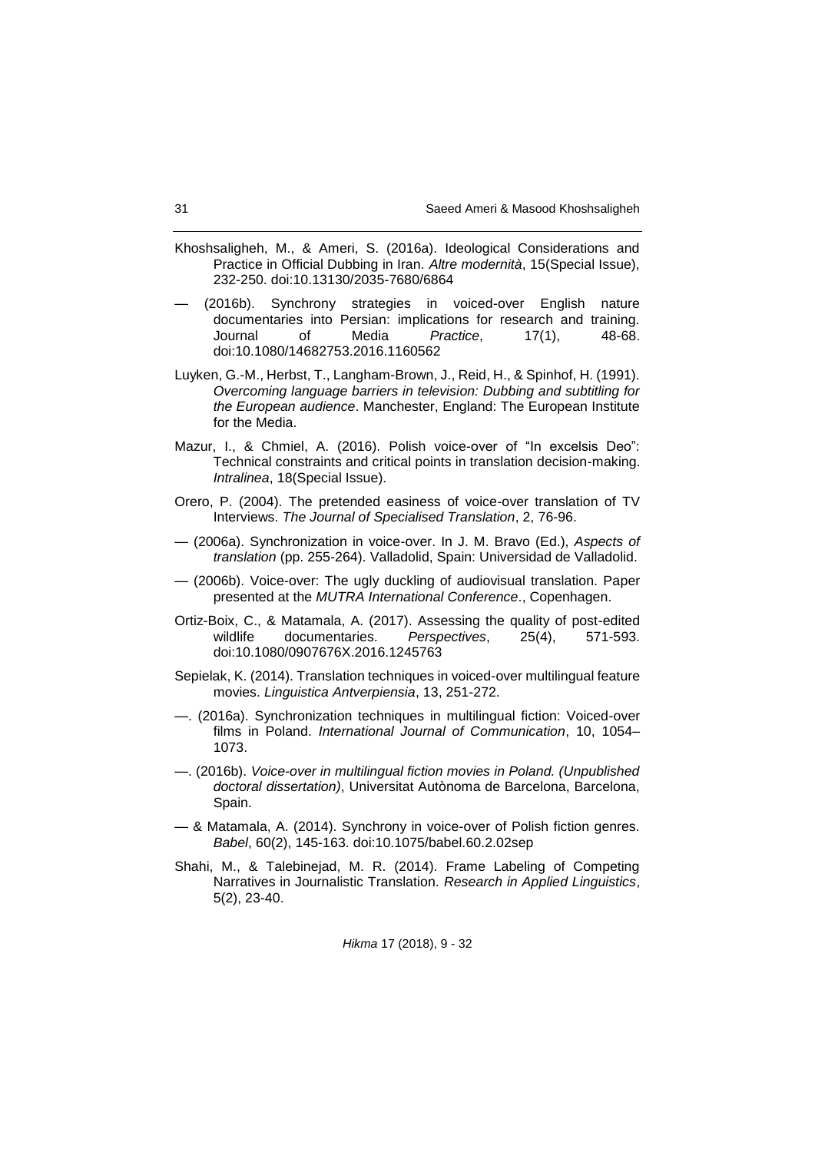- Khoshsaligheh, M., & Ameri, S. (2016a). Ideological Considerations and Practice in Official Dubbing in Iran. *Altre modernità*, 15(Special Issue), 232-250. doi:10.13130/2035-7680/6864
- (2016b). Synchrony strategies in voiced-over English nature documentaries into Persian: implications for research and training. Journal of Media *Practice*, 17(1), 48-68. doi:10.1080/14682753.2016.1160562
- Luyken, G.-M., Herbst, T., Langham-Brown, J., Reid, H., & Spinhof, H. (1991). *Overcoming language barriers in television: Dubbing and subtitling for the European audience*. Manchester, England: The European Institute for the Media.
- Mazur, I., & Chmiel, A. (2016). Polish voice-over of "In excelsis Deo": Technical constraints and critical points in translation decision-making. *Intralinea*, 18(Special Issue).
- Orero, P. (2004). The pretended easiness of voice-over translation of TV Interviews. *The Journal of Specialised Translation*, 2, 76-96.
- (2006a). Synchronization in voice-over. In J. M. Bravo (Ed.), *Aspects of translation* (pp. 255-264). Valladolid, Spain: Universidad de Valladolid.
- (2006b). Voice-over: The ugly duckling of audiovisual translation. Paper presented at the *MUTRA International Conference*., Copenhagen.
- Ortiz-Boix, C., & Matamala, A. (2017). Assessing the quality of post-edited wildlife documentaries. *Perspectives*, 25(4), 571-593. doi:10.1080/0907676X.2016.1245763
- Sepielak, K. (2014). Translation techniques in voiced-over multilingual feature movies. *Linguistica Antverpiensia*, 13, 251-272.
- —. (2016a). Synchronization techniques in multilingual fiction: Voiced-over films in Poland. *International Journal of Communication*, 10, 1054– 1073.
- —. (2016b). *Voice-over in multilingual fiction movies in Poland. (Unpublished doctoral dissertation)*, Universitat Autònoma de Barcelona, Barcelona, Spain.
- & Matamala, A. (2014). Synchrony in voice-over of Polish fiction genres. *Babel*, 60(2), 145-163. doi:10.1075/babel.60.2.02sep
- Shahi, M., & Talebinejad, M. R. (2014). Frame Labeling of Competing Narratives in Journalistic Translation. *Research in Applied Linguistics*, 5(2), 23-40.